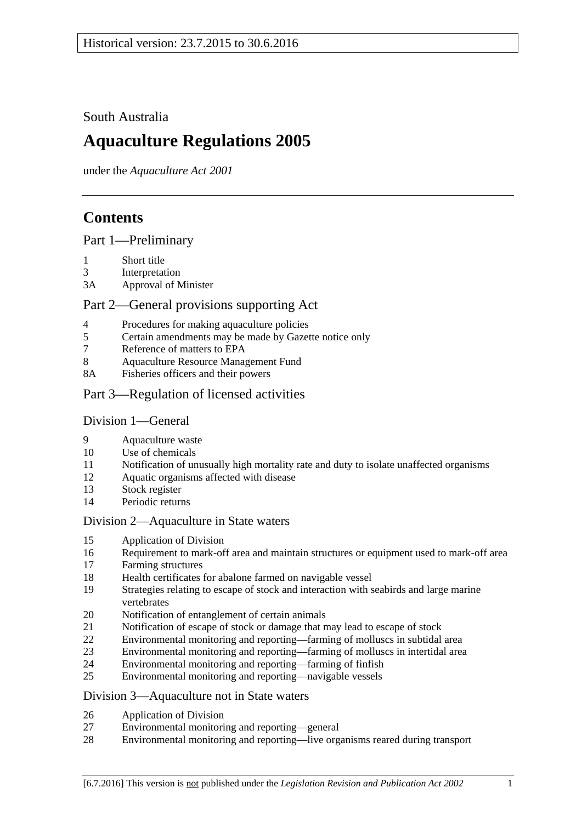South Australia

# **Aquaculture Regulations 2005**

under the *Aquaculture Act 2001*

# **Contents**

[Part 1—Preliminary](#page-1-0)

- [Short title](#page-1-1)
- [Interpretation](#page-1-2)
- 3A [Approval of Minister](#page-2-0)

## [Part 2—General provisions supporting Act](#page-3-0)

- [Procedures for making aquaculture policies](#page-3-1)
- [Certain amendments may be made by Gazette notice only](#page-3-2)
- [Reference of matters to EPA](#page-3-3)
- [Aquaculture Resource Management Fund](#page-3-4)
- 8A [Fisheries officers and their powers](#page-4-0)
- [Part 3—Regulation of licensed activities](#page-4-1)

#### [Division 1—General](#page-4-2)

- [Aquaculture waste](#page-4-3)
- [Use of chemicals](#page-4-4)
- [Notification of unusually high mortality rate and duty to isolate unaffected organisms](#page-5-0)
- [Aquatic organisms affected with disease](#page-6-0)
- [Stock register](#page-6-1)
- [Periodic returns](#page-8-0)

#### [Division 2—Aquaculture in State waters](#page-8-1)

- [Application of Division](#page-8-2)
- [Requirement to mark-off area and maintain structures or equipment used to mark-off area](#page-8-3)
- [Farming structures](#page-8-4)
- [Health certificates for abalone farmed on navigable vessel](#page-9-0)
- [Strategies relating to escape of stock and interaction with seabirds and large marine](#page-10-0)  [vertebrates](#page-10-0)
- [Notification of entanglement of certain animals](#page-11-0)
- [Notification of escape of stock or damage that may lead to escape of stock](#page-11-1)
- [Environmental monitoring and reporting—farming of molluscs in subtidal area](#page-11-2)
- [Environmental monitoring and reporting—farming of molluscs in intertidal area](#page-14-0)
- [Environmental monitoring and reporting—farming of finfish](#page-15-0)
- [Environmental monitoring and reporting—navigable vessels](#page-18-0)

#### [Division 3—Aquaculture not in State waters](#page-19-0)

- [Application of Division](#page-19-1)
- [Environmental monitoring and reporting—general](#page-19-2)
- [Environmental monitoring and reporting—live organisms reared during transport](#page-21-0)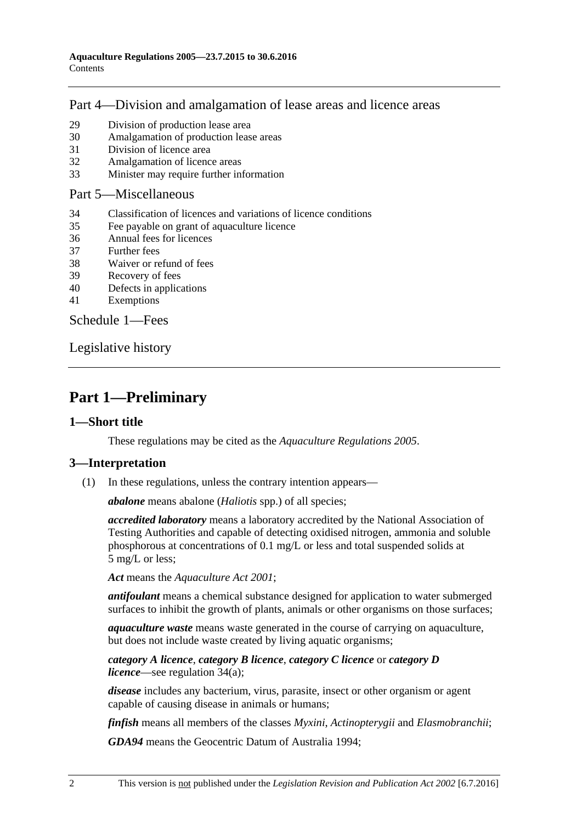## [Part 4—Division and amalgamation of lease areas and licence areas](#page-22-0)

- 29 [Division of production lease area](#page-22-1)
- 30 [Amalgamation of production lease areas](#page-23-0)
- 31 [Division of licence area](#page-24-0)
- 32 [Amalgamation of licence areas](#page-24-1)
- 33 [Minister may require further information](#page-25-0)

#### [Part 5—Miscellaneous](#page-25-1)

- 34 [Classification of licences and variations of licence conditions](#page-25-2)
- 35 [Fee payable on grant of aquaculture licence](#page-26-0)
- 36 [Annual fees for licences](#page-26-1)
- 37 [Further fees](#page-27-0)
- 38 [Waiver or refund of fees](#page-27-1)
- 39 [Recovery of fees](#page-27-2)
- 40 [Defects in applications](#page-27-3)
- 41 [Exemptions](#page-28-0)

[Schedule 1—Fees](#page-28-1)

[Legislative history](#page-31-0)

# <span id="page-1-0"></span>**Part 1—Preliminary**

#### <span id="page-1-1"></span>**1—Short title**

These regulations may be cited as the *Aquaculture Regulations 2005*.

#### <span id="page-1-2"></span>**3—Interpretation**

(1) In these regulations, unless the contrary intention appears—

*abalone* means abalone (*Haliotis* spp.) of all species;

*accredited laboratory* means a laboratory accredited by the National Association of Testing Authorities and capable of detecting oxidised nitrogen, ammonia and soluble phosphorous at concentrations of 0.1 mg/L or less and total suspended solids at 5 mg/L or less;

*Act* means the *[Aquaculture Act](http://www.legislation.sa.gov.au/index.aspx?action=legref&type=act&legtitle=Aquaculture%20Act%202001) 2001*;

*antifoulant* means a chemical substance designed for application to water submerged surfaces to inhibit the growth of plants, animals or other organisms on those surfaces;

*aquaculture waste* means waste generated in the course of carrying on aquaculture, but does not include waste created by living aquatic organisms;

#### *category A licence*, *category B licence*, *category C licence* or *category D licence*—see [regulation](#page-25-3) 34(a);

*disease* includes any bacterium, virus, parasite, insect or other organism or agent capable of causing disease in animals or humans;

*finfish* means all members of the classes *Myxini*, *Actinopterygii* and *Elasmobranchii*;

*GDA94* means the Geocentric Datum of Australia 1994;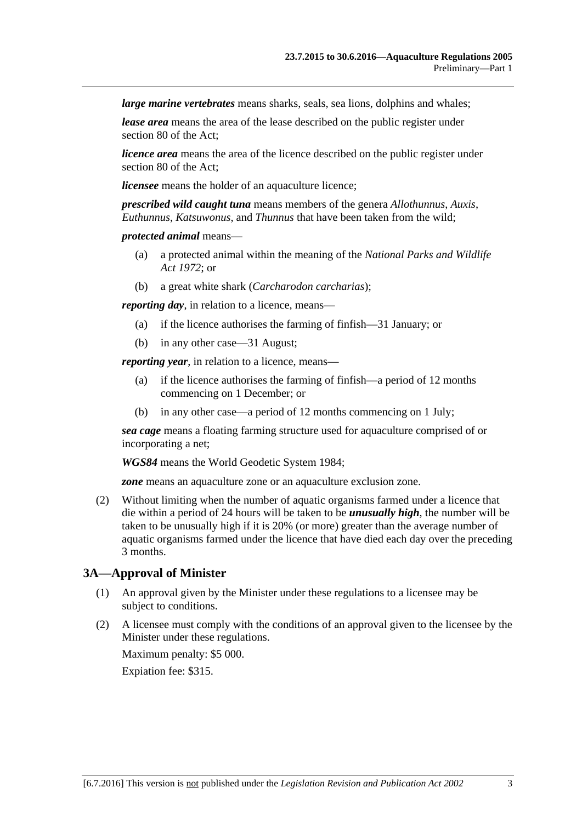*large marine vertebrates* means sharks, seals, sea lions, dolphins and whales;

*lease area* means the area of the lease described on the public register under section 80 of the Act;

*licence area* means the area of the licence described on the public register under section 80 of the Act;

*licensee* means the holder of an aquaculture licence;

*prescribed wild caught tuna* means members of the genera *Allothunnus*, *Auxis*, *Euthunnus*, *Katsuwonus*, and *Thunnus* that have been taken from the wild;

#### *protected animal* means—

- (a) a protected animal within the meaning of the *[National Parks and Wildlife](http://www.legislation.sa.gov.au/index.aspx?action=legref&type=act&legtitle=National%20Parks%20and%20Wildlife%20Act%201972)  Act [1972](http://www.legislation.sa.gov.au/index.aspx?action=legref&type=act&legtitle=National%20Parks%20and%20Wildlife%20Act%201972)*; or
- (b) a great white shark (*Carcharodon carcharias*);

*reporting day*, in relation to a licence, means—

- (a) if the licence authorises the farming of finfish—31 January; or
- (b) in any other case—31 August;

*reporting year*, in relation to a licence, means—

- (a) if the licence authorises the farming of finfish—a period of 12 months commencing on 1 December; or
- (b) in any other case—a period of 12 months commencing on 1 July;

*sea cage* means a floating farming structure used for aquaculture comprised of or incorporating a net;

*WGS84* means the World Geodetic System 1984;

*zone* means an aquaculture zone or an aquaculture exclusion zone.

<span id="page-2-1"></span>(2) Without limiting when the number of aquatic organisms farmed under a licence that die within a period of 24 hours will be taken to be *unusually high*, the number will be taken to be unusually high if it is 20% (or more) greater than the average number of aquatic organisms farmed under the licence that have died each day over the preceding 3 months.

### <span id="page-2-0"></span>**3A—Approval of Minister**

- (1) An approval given by the Minister under these regulations to a licensee may be subject to conditions.
- (2) A licensee must comply with the conditions of an approval given to the licensee by the Minister under these regulations.

Maximum penalty: \$5 000.

Expiation fee: \$315.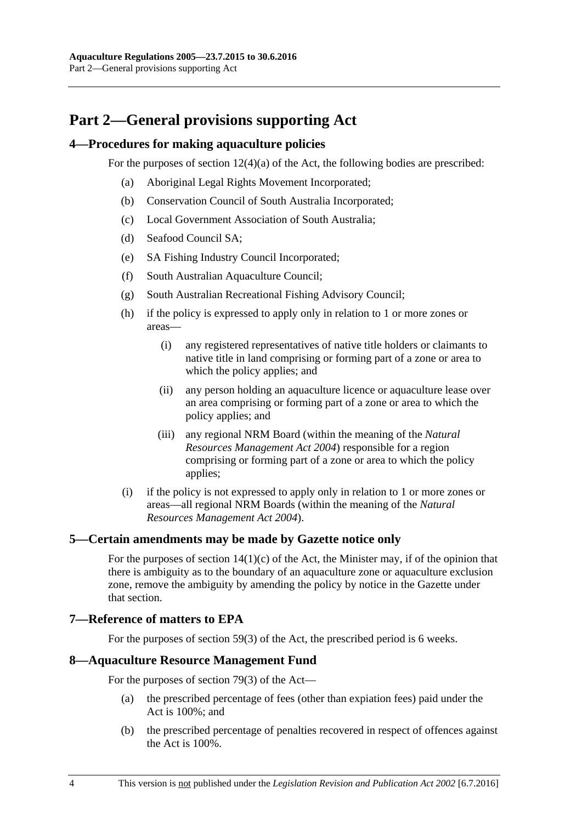# <span id="page-3-0"></span>**Part 2—General provisions supporting Act**

#### <span id="page-3-1"></span>**4—Procedures for making aquaculture policies**

For the purposes of section 12(4)(a) of the Act, the following bodies are prescribed:

- (a) Aboriginal Legal Rights Movement Incorporated;
- (b) Conservation Council of South Australia Incorporated;
- (c) Local Government Association of South Australia;
- (d) Seafood Council SA;
- (e) SA Fishing Industry Council Incorporated;
- (f) South Australian Aquaculture Council;
- (g) South Australian Recreational Fishing Advisory Council;
- (h) if the policy is expressed to apply only in relation to 1 or more zones or areas—
	- (i) any registered representatives of native title holders or claimants to native title in land comprising or forming part of a zone or area to which the policy applies; and
	- (ii) any person holding an aquaculture licence or aquaculture lease over an area comprising or forming part of a zone or area to which the policy applies; and
	- (iii) any regional NRM Board (within the meaning of the *[Natural](http://www.legislation.sa.gov.au/index.aspx?action=legref&type=act&legtitle=Natural%20Resources%20Management%20Act%202004)  [Resources Management Act](http://www.legislation.sa.gov.au/index.aspx?action=legref&type=act&legtitle=Natural%20Resources%20Management%20Act%202004) 2004*) responsible for a region comprising or forming part of a zone or area to which the policy applies;
- (i) if the policy is not expressed to apply only in relation to 1 or more zones or areas—all regional NRM Boards (within the meaning of the *[Natural](http://www.legislation.sa.gov.au/index.aspx?action=legref&type=act&legtitle=Natural%20Resources%20Management%20Act%202004)  [Resources Management Act](http://www.legislation.sa.gov.au/index.aspx?action=legref&type=act&legtitle=Natural%20Resources%20Management%20Act%202004) 2004*).

#### <span id="page-3-2"></span>**5—Certain amendments may be made by Gazette notice only**

For the purposes of section  $14(1)(c)$  of the Act, the Minister may, if of the opinion that there is ambiguity as to the boundary of an aquaculture zone or aquaculture exclusion zone, remove the ambiguity by amending the policy by notice in the Gazette under that section.

# <span id="page-3-3"></span>**7—Reference of matters to EPA**

For the purposes of section 59(3) of the Act, the prescribed period is 6 weeks.

#### <span id="page-3-4"></span>**8—Aquaculture Resource Management Fund**

For the purposes of section 79(3) of the Act—

- (a) the prescribed percentage of fees (other than expiation fees) paid under the Act is 100%; and
- (b) the prescribed percentage of penalties recovered in respect of offences against the Act is 100%.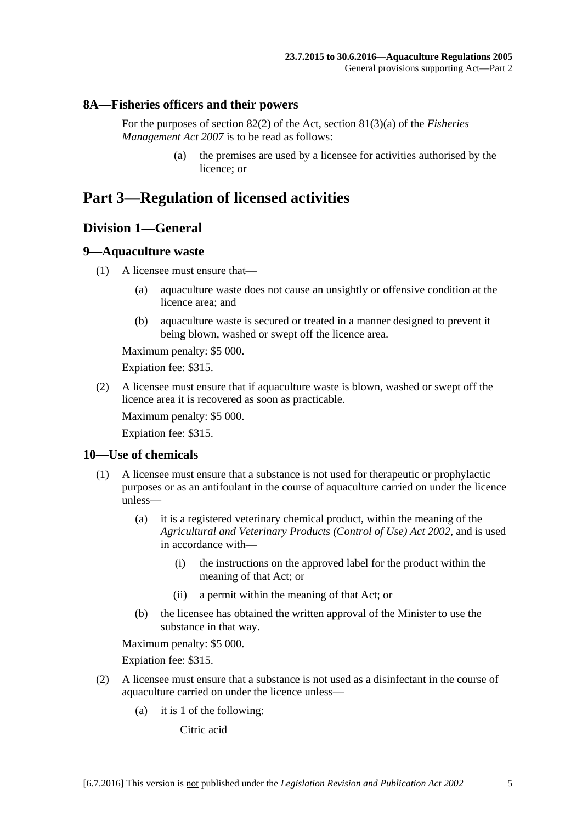#### <span id="page-4-0"></span>**8A—Fisheries officers and their powers**

For the purposes of section 82(2) of the Act, section 81(3)(a) of the *[Fisheries](http://www.legislation.sa.gov.au/index.aspx?action=legref&type=act&legtitle=Fisheries%20Management%20Act%202007)  [Management Act](http://www.legislation.sa.gov.au/index.aspx?action=legref&type=act&legtitle=Fisheries%20Management%20Act%202007) 2007* is to be read as follows:

> (a) the premises are used by a licensee for activities authorised by the licence; or

# <span id="page-4-2"></span><span id="page-4-1"></span>**Part 3—Regulation of licensed activities**

## **Division 1—General**

#### <span id="page-4-3"></span>**9—Aquaculture waste**

- (1) A licensee must ensure that—
	- (a) aquaculture waste does not cause an unsightly or offensive condition at the licence area; and
	- (b) aquaculture waste is secured or treated in a manner designed to prevent it being blown, washed or swept off the licence area.

Maximum penalty: \$5 000.

Expiation fee: \$315.

(2) A licensee must ensure that if aquaculture waste is blown, washed or swept off the licence area it is recovered as soon as practicable.

Maximum penalty: \$5 000.

Expiation fee: \$315.

#### <span id="page-4-4"></span>**10—Use of chemicals**

- (1) A licensee must ensure that a substance is not used for therapeutic or prophylactic purposes or as an antifoulant in the course of aquaculture carried on under the licence unless—
	- (a) it is a registered veterinary chemical product, within the meaning of the *[Agricultural and Veterinary Products \(Control of Use\) Act](http://www.legislation.sa.gov.au/index.aspx?action=legref&type=act&legtitle=Agricultural%20and%20Veterinary%20Products%20(Control%20of%20Use)%20Act%202002) 2002*, and is used in accordance with—
		- (i) the instructions on the approved label for the product within the meaning of that Act; or
		- (ii) a permit within the meaning of that Act; or
	- (b) the licensee has obtained the written approval of the Minister to use the substance in that way.

Maximum penalty: \$5 000.

Expiation fee: \$315.

- (2) A licensee must ensure that a substance is not used as a disinfectant in the course of aquaculture carried on under the licence unless—
	- (a) it is 1 of the following:

Citric acid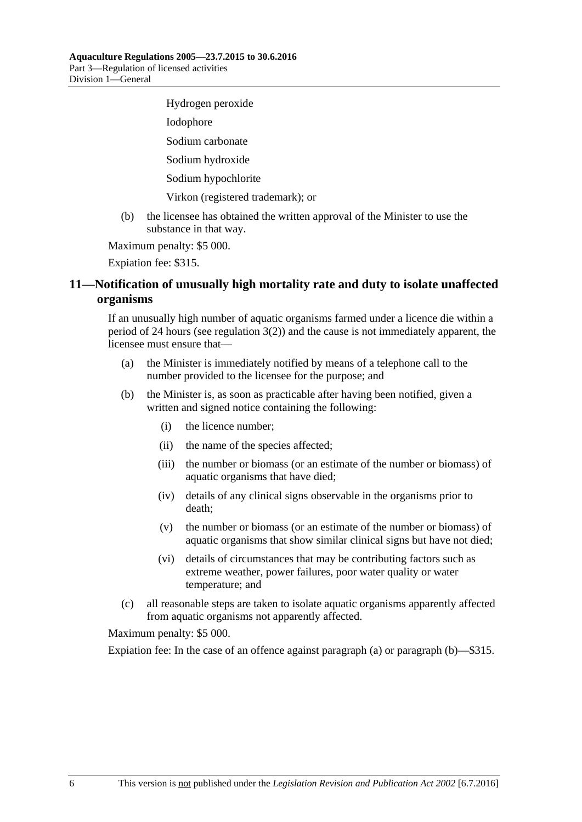Hydrogen peroxide Iodophore Sodium carbonate Sodium hydroxide Sodium hypochlorite Virkon (registered trademark); or

(b) the licensee has obtained the written approval of the Minister to use the substance in that way.

Maximum penalty: \$5 000.

Expiation fee: \$315.

# <span id="page-5-0"></span>**11—Notification of unusually high mortality rate and duty to isolate unaffected organisms**

If an unusually high number of aquatic organisms farmed under a licence die within a period of 24 hours (see [regulation](#page-2-1)  $3(2)$ ) and the cause is not immediately apparent, the licensee must ensure that—

- <span id="page-5-1"></span>(a) the Minister is immediately notified by means of a telephone call to the number provided to the licensee for the purpose; and
- <span id="page-5-2"></span>(b) the Minister is, as soon as practicable after having been notified, given a written and signed notice containing the following:
	- (i) the licence number;
	- (ii) the name of the species affected;
	- (iii) the number or biomass (or an estimate of the number or biomass) of aquatic organisms that have died;
	- (iv) details of any clinical signs observable in the organisms prior to death;
	- (v) the number or biomass (or an estimate of the number or biomass) of aquatic organisms that show similar clinical signs but have not died;
	- (vi) details of circumstances that may be contributing factors such as extreme weather, power failures, poor water quality or water temperature; and
- (c) all reasonable steps are taken to isolate aquatic organisms apparently affected from aquatic organisms not apparently affected.

Maximum penalty: \$5 000.

Expiation fee: In the case of an offence against [paragraph](#page-5-1) (a) or [paragraph](#page-5-2) (b)—\$315.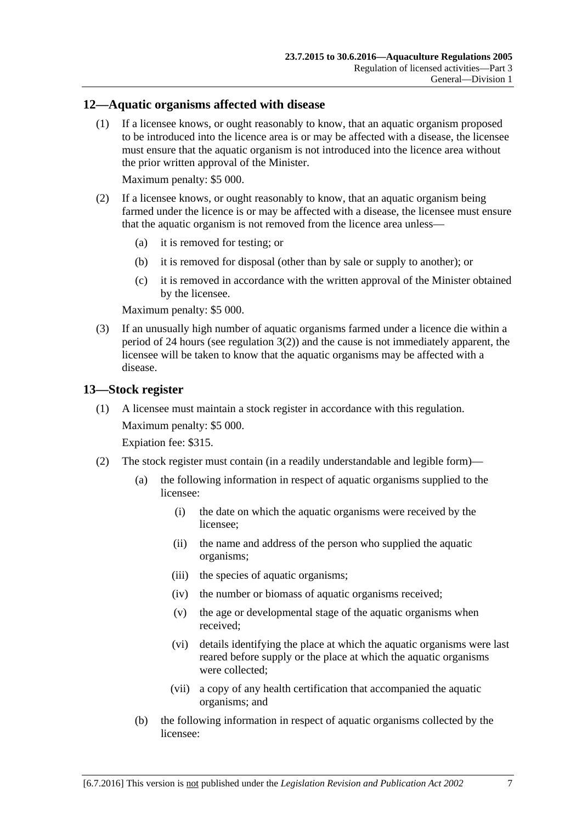#### <span id="page-6-0"></span>**12—Aquatic organisms affected with disease**

(1) If a licensee knows, or ought reasonably to know, that an aquatic organism proposed to be introduced into the licence area is or may be affected with a disease, the licensee must ensure that the aquatic organism is not introduced into the licence area without the prior written approval of the Minister.

Maximum penalty: \$5 000.

- (2) If a licensee knows, or ought reasonably to know, that an aquatic organism being farmed under the licence is or may be affected with a disease, the licensee must ensure that the aquatic organism is not removed from the licence area unless—
	- (a) it is removed for testing; or
	- (b) it is removed for disposal (other than by sale or supply to another); or
	- (c) it is removed in accordance with the written approval of the Minister obtained by the licensee.

Maximum penalty: \$5 000.

(3) If an unusually high number of aquatic organisms farmed under a licence die within a period of 24 hours (see [regulation](#page-2-1)  $3(2)$ ) and the cause is not immediately apparent, the licensee will be taken to know that the aquatic organisms may be affected with a disease.

#### <span id="page-6-1"></span>**13—Stock register**

(1) A licensee must maintain a stock register in accordance with this regulation. Maximum penalty: \$5 000.

Expiation fee: \$315.

- (2) The stock register must contain (in a readily understandable and legible form)—
	- (a) the following information in respect of aquatic organisms supplied to the licensee:
		- (i) the date on which the aquatic organisms were received by the licensee;
		- (ii) the name and address of the person who supplied the aquatic organisms;
		- (iii) the species of aquatic organisms;
		- (iv) the number or biomass of aquatic organisms received;
		- (v) the age or developmental stage of the aquatic organisms when received;
		- (vi) details identifying the place at which the aquatic organisms were last reared before supply or the place at which the aquatic organisms were collected;
		- (vii) a copy of any health certification that accompanied the aquatic organisms; and
	- (b) the following information in respect of aquatic organisms collected by the licensee: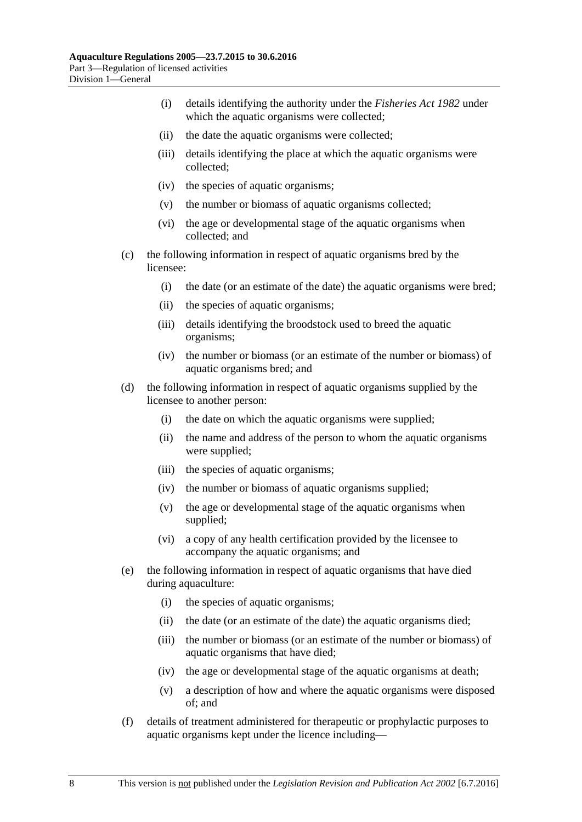- (i) details identifying the authority under the *[Fisheries Act](http://www.legislation.sa.gov.au/index.aspx?action=legref&type=act&legtitle=Fisheries%20Act%201982) 1982* under which the aquatic organisms were collected;
- (ii) the date the aquatic organisms were collected;
- (iii) details identifying the place at which the aquatic organisms were collected;
- (iv) the species of aquatic organisms;
- (v) the number or biomass of aquatic organisms collected;
- (vi) the age or developmental stage of the aquatic organisms when collected; and
- (c) the following information in respect of aquatic organisms bred by the licensee:
	- (i) the date (or an estimate of the date) the aquatic organisms were bred;
	- (ii) the species of aquatic organisms;
	- (iii) details identifying the broodstock used to breed the aquatic organisms;
	- (iv) the number or biomass (or an estimate of the number or biomass) of aquatic organisms bred; and
- (d) the following information in respect of aquatic organisms supplied by the licensee to another person:
	- (i) the date on which the aquatic organisms were supplied;
	- (ii) the name and address of the person to whom the aquatic organisms were supplied;
	- (iii) the species of aquatic organisms;
	- (iv) the number or biomass of aquatic organisms supplied;
	- (v) the age or developmental stage of the aquatic organisms when supplied;
	- (vi) a copy of any health certification provided by the licensee to accompany the aquatic organisms; and
- (e) the following information in respect of aquatic organisms that have died during aquaculture:
	- (i) the species of aquatic organisms;
	- (ii) the date (or an estimate of the date) the aquatic organisms died;
	- (iii) the number or biomass (or an estimate of the number or biomass) of aquatic organisms that have died;
	- (iv) the age or developmental stage of the aquatic organisms at death;
	- (v) a description of how and where the aquatic organisms were disposed of; and
- (f) details of treatment administered for therapeutic or prophylactic purposes to aquatic organisms kept under the licence including—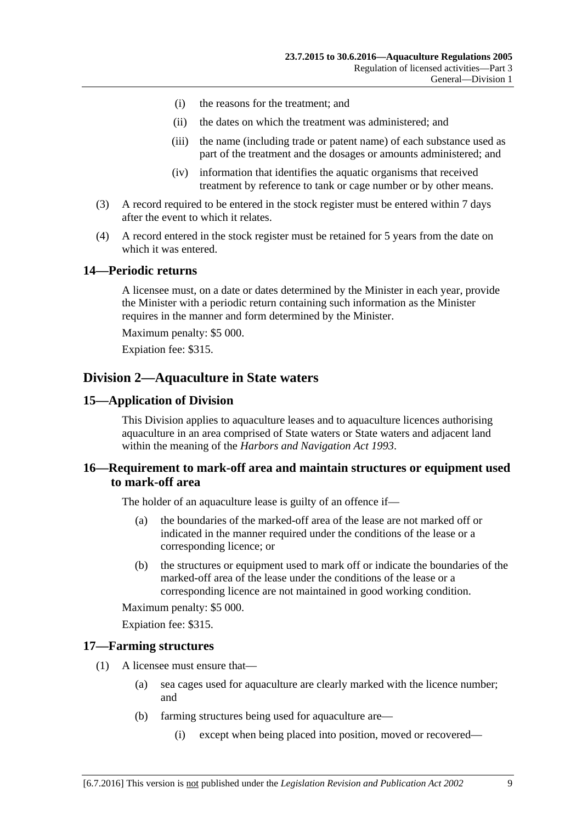- (i) the reasons for the treatment; and
- (ii) the dates on which the treatment was administered; and
- (iii) the name (including trade or patent name) of each substance used as part of the treatment and the dosages or amounts administered; and
- (iv) information that identifies the aquatic organisms that received treatment by reference to tank or cage number or by other means.
- (3) A record required to be entered in the stock register must be entered within 7 days after the event to which it relates.
- (4) A record entered in the stock register must be retained for 5 years from the date on which it was entered.

#### <span id="page-8-0"></span>**14—Periodic returns**

A licensee must, on a date or dates determined by the Minister in each year, provide the Minister with a periodic return containing such information as the Minister requires in the manner and form determined by the Minister.

Maximum penalty: \$5 000.

Expiation fee: \$315.

#### <span id="page-8-1"></span>**Division 2—Aquaculture in State waters**

#### <span id="page-8-2"></span>**15—Application of Division**

This Division applies to aquaculture leases and to aquaculture licences authorising aquaculture in an area comprised of State waters or State waters and adjacent land within the meaning of the *[Harbors and Navigation Act](http://www.legislation.sa.gov.au/index.aspx?action=legref&type=act&legtitle=Harbors%20and%20Navigation%20Act%201993) 1993*.

#### <span id="page-8-3"></span>**16—Requirement to mark-off area and maintain structures or equipment used to mark-off area**

The holder of an aquaculture lease is guilty of an offence if—

- (a) the boundaries of the marked-off area of the lease are not marked off or indicated in the manner required under the conditions of the lease or a corresponding licence; or
- (b) the structures or equipment used to mark off or indicate the boundaries of the marked-off area of the lease under the conditions of the lease or a corresponding licence are not maintained in good working condition.

Maximum penalty: \$5 000.

Expiation fee: \$315.

#### <span id="page-8-4"></span>**17—Farming structures**

- (1) A licensee must ensure that—
	- (a) sea cages used for aquaculture are clearly marked with the licence number; and
	- (b) farming structures being used for aquaculture are—
		- (i) except when being placed into position, moved or recovered—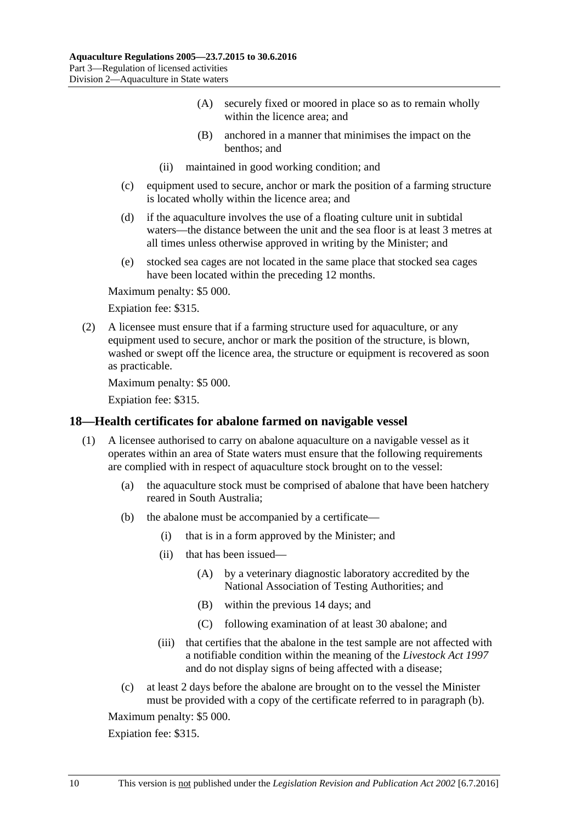- (A) securely fixed or moored in place so as to remain wholly within the licence area; and
- (B) anchored in a manner that minimises the impact on the benthos; and
- (ii) maintained in good working condition; and
- (c) equipment used to secure, anchor or mark the position of a farming structure is located wholly within the licence area; and
- (d) if the aquaculture involves the use of a floating culture unit in subtidal waters—the distance between the unit and the sea floor is at least 3 metres at all times unless otherwise approved in writing by the Minister; and
- (e) stocked sea cages are not located in the same place that stocked sea cages have been located within the preceding 12 months.

Expiation fee: \$315.

(2) A licensee must ensure that if a farming structure used for aquaculture, or any equipment used to secure, anchor or mark the position of the structure, is blown, washed or swept off the licence area, the structure or equipment is recovered as soon as practicable.

Maximum penalty: \$5 000.

Expiation fee: \$315.

#### <span id="page-9-0"></span>**18—Health certificates for abalone farmed on navigable vessel**

- <span id="page-9-1"></span>(1) A licensee authorised to carry on abalone aquaculture on a navigable vessel as it operates within an area of State waters must ensure that the following requirements are complied with in respect of aquaculture stock brought on to the vessel:
	- (a) the aquaculture stock must be comprised of abalone that have been hatchery reared in South Australia;
	- (b) the abalone must be accompanied by a certificate—
		- (i) that is in a form approved by the Minister; and
		- (ii) that has been issued—
			- (A) by a veterinary diagnostic laboratory accredited by the National Association of Testing Authorities; and
			- (B) within the previous 14 days; and
			- (C) following examination of at least 30 abalone; and
		- (iii) that certifies that the abalone in the test sample are not affected with a notifiable condition within the meaning of the *[Livestock Act](http://www.legislation.sa.gov.au/index.aspx?action=legref&type=act&legtitle=Livestock%20Act%201997) 1997* and do not display signs of being affected with a disease;
	- (c) at least 2 days before the abalone are brought on to the vessel the Minister must be provided with a copy of the certificate referred to in [paragraph](#page-9-1) (b).

Maximum penalty: \$5 000.

Expiation fee: \$315.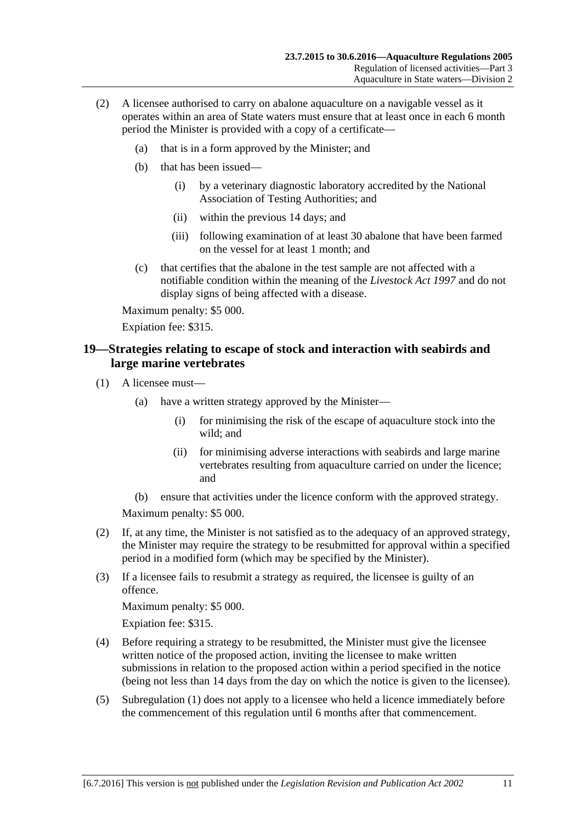- (2) A licensee authorised to carry on abalone aquaculture on a navigable vessel as it operates within an area of State waters must ensure that at least once in each 6 month period the Minister is provided with a copy of a certificate—
	- (a) that is in a form approved by the Minister; and
	- (b) that has been issued—
		- (i) by a veterinary diagnostic laboratory accredited by the National Association of Testing Authorities; and
		- (ii) within the previous 14 days; and
		- (iii) following examination of at least 30 abalone that have been farmed on the vessel for at least 1 month; and
	- (c) that certifies that the abalone in the test sample are not affected with a notifiable condition within the meaning of the *[Livestock Act](http://www.legislation.sa.gov.au/index.aspx?action=legref&type=act&legtitle=Livestock%20Act%201997) 1997* and do not display signs of being affected with a disease.

Expiation fee: \$315.

#### <span id="page-10-0"></span>**19—Strategies relating to escape of stock and interaction with seabirds and large marine vertebrates**

- <span id="page-10-1"></span>(1) A licensee must—
	- (a) have a written strategy approved by the Minister—
		- (i) for minimising the risk of the escape of aquaculture stock into the wild; and
		- (ii) for minimising adverse interactions with seabirds and large marine vertebrates resulting from aquaculture carried on under the licence; and
	- (b) ensure that activities under the licence conform with the approved strategy.

Maximum penalty: \$5 000.

- (2) If, at any time, the Minister is not satisfied as to the adequacy of an approved strategy, the Minister may require the strategy to be resubmitted for approval within a specified period in a modified form (which may be specified by the Minister).
- (3) If a licensee fails to resubmit a strategy as required, the licensee is guilty of an offence.

Maximum penalty: \$5 000.

Expiation fee: \$315.

- (4) Before requiring a strategy to be resubmitted, the Minister must give the licensee written notice of the proposed action, inviting the licensee to make written submissions in relation to the proposed action within a period specified in the notice (being not less than 14 days from the day on which the notice is given to the licensee).
- (5) [Subregulation](#page-10-1) (1) does not apply to a licensee who held a licence immediately before the commencement of this regulation until 6 months after that commencement.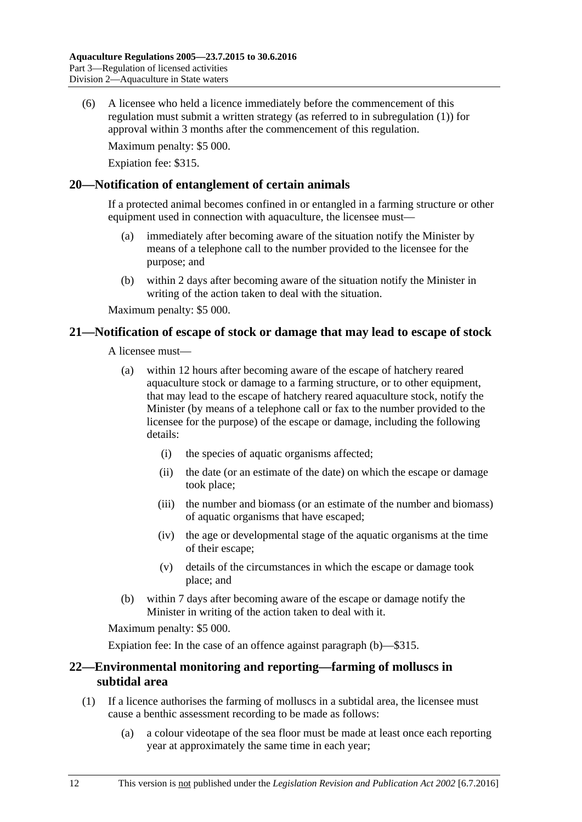(6) A licensee who held a licence immediately before the commencement of this regulation must submit a written strategy (as referred to in [subregulation](#page-10-1) (1)) for approval within 3 months after the commencement of this regulation.

Maximum penalty: \$5 000.

Expiation fee: \$315.

#### <span id="page-11-0"></span>**20—Notification of entanglement of certain animals**

If a protected animal becomes confined in or entangled in a farming structure or other equipment used in connection with aquaculture, the licensee must—

- (a) immediately after becoming aware of the situation notify the Minister by means of a telephone call to the number provided to the licensee for the purpose; and
- (b) within 2 days after becoming aware of the situation notify the Minister in writing of the action taken to deal with the situation.

Maximum penalty: \$5 000.

#### <span id="page-11-1"></span>**21—Notification of escape of stock or damage that may lead to escape of stock**

A licensee must—

- (a) within 12 hours after becoming aware of the escape of hatchery reared aquaculture stock or damage to a farming structure, or to other equipment, that may lead to the escape of hatchery reared aquaculture stock, notify the Minister (by means of a telephone call or fax to the number provided to the licensee for the purpose) of the escape or damage, including the following details:
	- (i) the species of aquatic organisms affected;
	- (ii) the date (or an estimate of the date) on which the escape or damage took place;
	- (iii) the number and biomass (or an estimate of the number and biomass) of aquatic organisms that have escaped;
	- (iv) the age or developmental stage of the aquatic organisms at the time of their escape;
	- (v) details of the circumstances in which the escape or damage took place; and
- <span id="page-11-3"></span>(b) within 7 days after becoming aware of the escape or damage notify the Minister in writing of the action taken to deal with it.

Maximum penalty: \$5 000.

Expiation fee: In the case of an offence against [paragraph](#page-11-3) (b)—\$315.

#### <span id="page-11-2"></span>**22—Environmental monitoring and reporting—farming of molluscs in subtidal area**

- (1) If a licence authorises the farming of molluscs in a subtidal area, the licensee must cause a benthic assessment recording to be made as follows:
	- (a) a colour videotape of the sea floor must be made at least once each reporting year at approximately the same time in each year;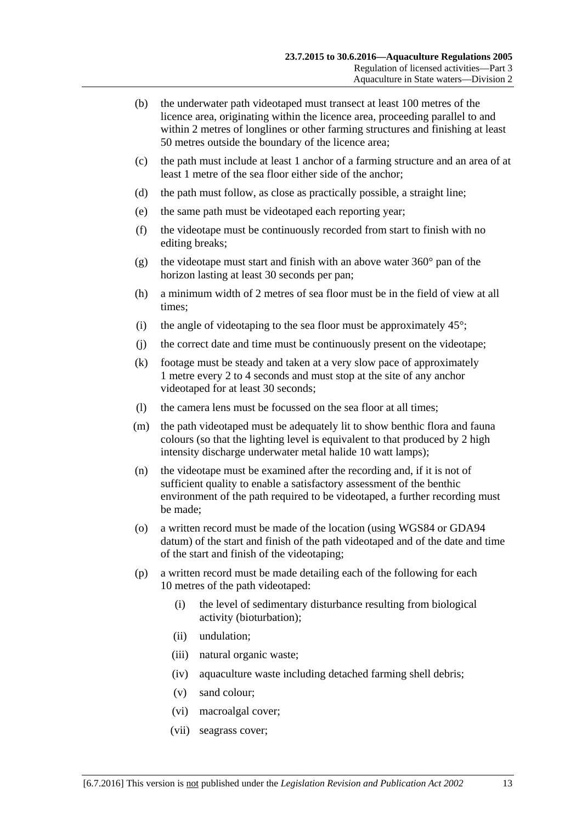- (b) the underwater path videotaped must transect at least 100 metres of the licence area, originating within the licence area, proceeding parallel to and within 2 metres of longlines or other farming structures and finishing at least 50 metres outside the boundary of the licence area;
- (c) the path must include at least 1 anchor of a farming structure and an area of at least 1 metre of the sea floor either side of the anchor;
- (d) the path must follow, as close as practically possible, a straight line;
- (e) the same path must be videotaped each reporting year;
- (f) the videotape must be continuously recorded from start to finish with no editing breaks;
- (g) the videotape must start and finish with an above water  $360^{\circ}$  pan of the horizon lasting at least 30 seconds per pan;
- (h) a minimum width of 2 metres of sea floor must be in the field of view at all times;
- (i) the angle of videotaping to the sea floor must be approximately  $45^{\circ}$ ;
- (j) the correct date and time must be continuously present on the videotape;
- (k) footage must be steady and taken at a very slow pace of approximately 1 metre every 2 to 4 seconds and must stop at the site of any anchor videotaped for at least 30 seconds;
- (l) the camera lens must be focussed on the sea floor at all times;
- (m) the path videotaped must be adequately lit to show benthic flora and fauna colours (so that the lighting level is equivalent to that produced by 2 high intensity discharge underwater metal halide 10 watt lamps);
- (n) the videotape must be examined after the recording and, if it is not of sufficient quality to enable a satisfactory assessment of the benthic environment of the path required to be videotaped, a further recording must be made;
- (o) a written record must be made of the location (using WGS84 or GDA94 datum) of the start and finish of the path videotaped and of the date and time of the start and finish of the videotaping;
- (p) a written record must be made detailing each of the following for each 10 metres of the path videotaped:
	- (i) the level of sedimentary disturbance resulting from biological activity (bioturbation);
	- (ii) undulation;
	- (iii) natural organic waste;
	- (iv) aquaculture waste including detached farming shell debris;
	- (v) sand colour;
	- (vi) macroalgal cover;
	- (vii) seagrass cover;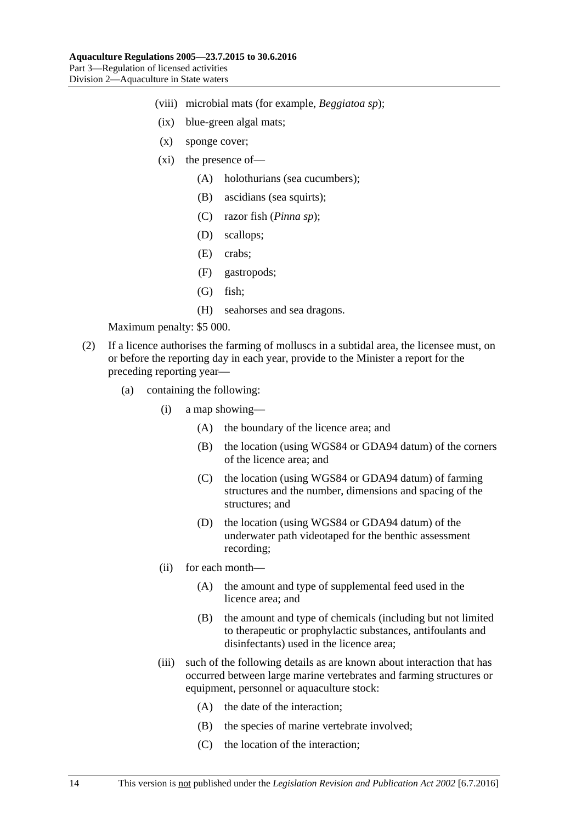- (viii) microbial mats (for example, *Beggiatoa sp*);
- (ix) blue-green algal mats;
- (x) sponge cover;
- (xi) the presence of—
	- (A) holothurians (sea cucumbers);
	- (B) ascidians (sea squirts);
	- (C) razor fish (*Pinna sp*);
	- (D) scallops;
	- (E) crabs;
	- (F) gastropods;
	- (G) fish;
	- (H) seahorses and sea dragons.

- (2) If a licence authorises the farming of molluscs in a subtidal area, the licensee must, on or before the reporting day in each year, provide to the Minister a report for the preceding reporting year—
	- (a) containing the following:
		- (i) a map showing—
			- (A) the boundary of the licence area; and
			- (B) the location (using WGS84 or GDA94 datum) of the corners of the licence area; and
			- (C) the location (using WGS84 or GDA94 datum) of farming structures and the number, dimensions and spacing of the structures; and
			- (D) the location (using WGS84 or GDA94 datum) of the underwater path videotaped for the benthic assessment recording;
		- (ii) for each month—
			- (A) the amount and type of supplemental feed used in the licence area; and
			- (B) the amount and type of chemicals (including but not limited to therapeutic or prophylactic substances, antifoulants and disinfectants) used in the licence area;
		- (iii) such of the following details as are known about interaction that has occurred between large marine vertebrates and farming structures or equipment, personnel or aquaculture stock:
			- (A) the date of the interaction;
			- (B) the species of marine vertebrate involved;
			- (C) the location of the interaction;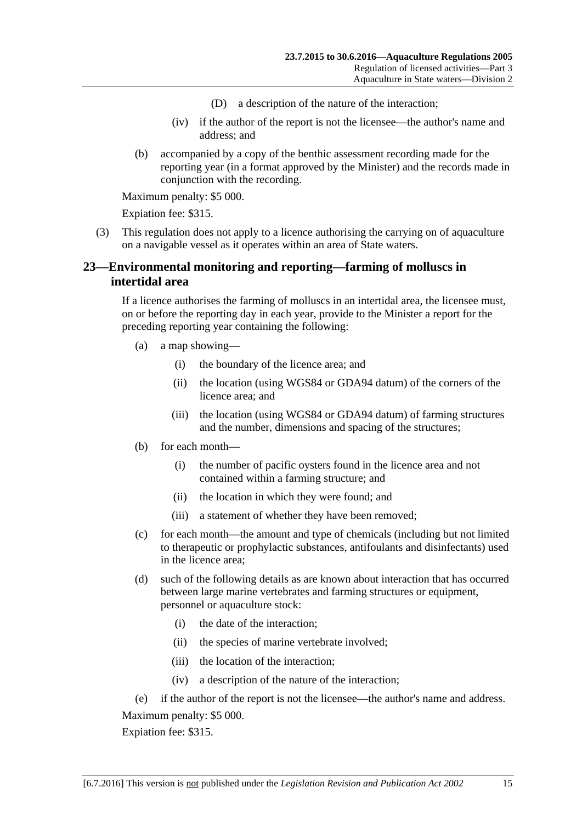- (D) a description of the nature of the interaction;
- (iv) if the author of the report is not the licensee—the author's name and address; and
- (b) accompanied by a copy of the benthic assessment recording made for the reporting year (in a format approved by the Minister) and the records made in conjunction with the recording.

Expiation fee: \$315.

(3) This regulation does not apply to a licence authorising the carrying on of aquaculture on a navigable vessel as it operates within an area of State waters.

### <span id="page-14-0"></span>**23—Environmental monitoring and reporting—farming of molluscs in intertidal area**

If a licence authorises the farming of molluscs in an intertidal area, the licensee must, on or before the reporting day in each year, provide to the Minister a report for the preceding reporting year containing the following:

- (a) a map showing—
	- (i) the boundary of the licence area; and
	- (ii) the location (using WGS84 or GDA94 datum) of the corners of the licence area; and
	- (iii) the location (using WGS84 or GDA94 datum) of farming structures and the number, dimensions and spacing of the structures;
- (b) for each month—
	- (i) the number of pacific oysters found in the licence area and not contained within a farming structure; and
	- (ii) the location in which they were found; and
	- (iii) a statement of whether they have been removed;
- (c) for each month—the amount and type of chemicals (including but not limited to therapeutic or prophylactic substances, antifoulants and disinfectants) used in the licence area;
- (d) such of the following details as are known about interaction that has occurred between large marine vertebrates and farming structures or equipment, personnel or aquaculture stock:
	- (i) the date of the interaction;
	- (ii) the species of marine vertebrate involved;
	- (iii) the location of the interaction;
	- (iv) a description of the nature of the interaction;
- (e) if the author of the report is not the licensee—the author's name and address. Maximum penalty: \$5 000.

Expiation fee: \$315.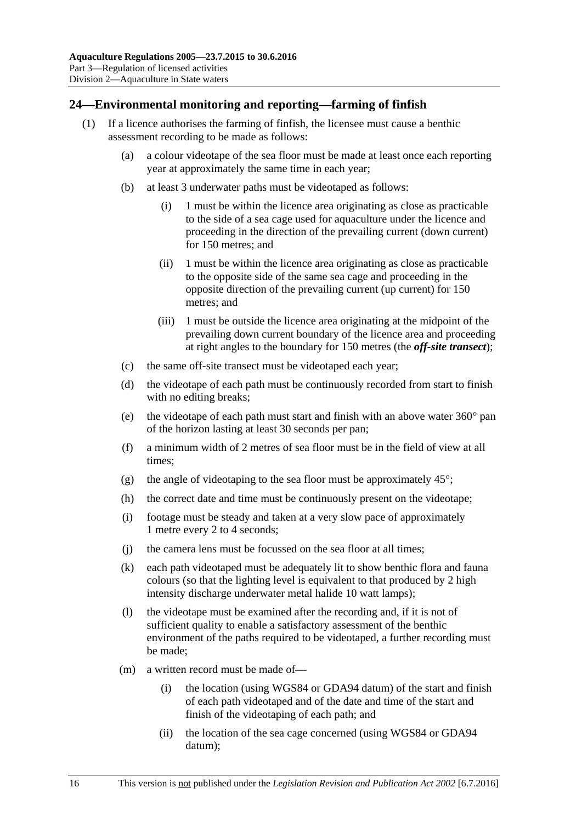## <span id="page-15-1"></span><span id="page-15-0"></span>**24—Environmental monitoring and reporting—farming of finfish**

- (1) If a licence authorises the farming of finfish, the licensee must cause a benthic assessment recording to be made as follows:
	- (a) a colour videotape of the sea floor must be made at least once each reporting year at approximately the same time in each year;
	- (b) at least 3 underwater paths must be videotaped as follows:
		- (i) 1 must be within the licence area originating as close as practicable to the side of a sea cage used for aquaculture under the licence and proceeding in the direction of the prevailing current (down current) for 150 metres; and
		- (ii) 1 must be within the licence area originating as close as practicable to the opposite side of the same sea cage and proceeding in the opposite direction of the prevailing current (up current) for 150 metres; and
		- (iii) 1 must be outside the licence area originating at the midpoint of the prevailing down current boundary of the licence area and proceeding at right angles to the boundary for 150 metres (the *off-site transect*);
	- (c) the same off-site transect must be videotaped each year;
	- (d) the videotape of each path must be continuously recorded from start to finish with no editing breaks;
	- (e) the videotape of each path must start and finish with an above water 360° pan of the horizon lasting at least 30 seconds per pan;
	- (f) a minimum width of 2 metres of sea floor must be in the field of view at all times;
	- (g) the angle of videotaping to the sea floor must be approximately  $45^{\circ}$ ;
	- (h) the correct date and time must be continuously present on the videotape;
	- (i) footage must be steady and taken at a very slow pace of approximately 1 metre every 2 to 4 seconds;
	- (j) the camera lens must be focussed on the sea floor at all times;
	- (k) each path videotaped must be adequately lit to show benthic flora and fauna colours (so that the lighting level is equivalent to that produced by 2 high intensity discharge underwater metal halide 10 watt lamps);
	- (l) the videotape must be examined after the recording and, if it is not of sufficient quality to enable a satisfactory assessment of the benthic environment of the paths required to be videotaped, a further recording must be made;
	- (m) a written record must be made of—
		- (i) the location (using WGS84 or GDA94 datum) of the start and finish of each path videotaped and of the date and time of the start and finish of the videotaping of each path; and
		- (ii) the location of the sea cage concerned (using WGS84 or GDA94 datum);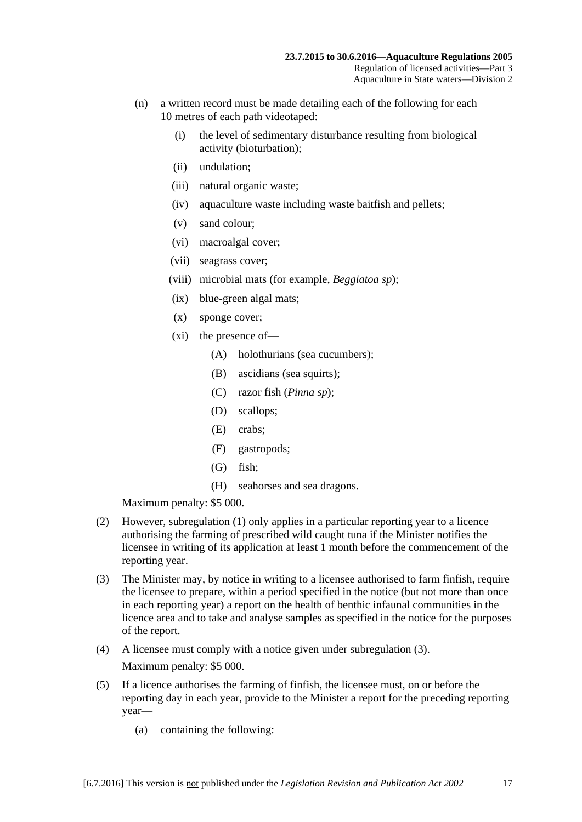- (n) a written record must be made detailing each of the following for each 10 metres of each path videotaped:
	- (i) the level of sedimentary disturbance resulting from biological activity (bioturbation);
	- (ii) undulation;
	- (iii) natural organic waste;
	- (iv) aquaculture waste including waste baitfish and pellets;
	- (v) sand colour;
	- (vi) macroalgal cover;
	- (vii) seagrass cover;
	- (viii) microbial mats (for example, *Beggiatoa sp*);
	- (ix) blue-green algal mats;
	- (x) sponge cover;
	- (xi) the presence of—
		- (A) holothurians (sea cucumbers);
		- (B) ascidians (sea squirts);
		- (C) razor fish (*Pinna sp*);
		- (D) scallops;
		- (E) crabs;
		- (F) gastropods;
		- (G) fish;
		- (H) seahorses and sea dragons.

- (2) However, [subregulation](#page-15-1) (1) only applies in a particular reporting year to a licence authorising the farming of prescribed wild caught tuna if the Minister notifies the licensee in writing of its application at least 1 month before the commencement of the reporting year.
- <span id="page-16-0"></span>(3) The Minister may, by notice in writing to a licensee authorised to farm finfish, require the licensee to prepare, within a period specified in the notice (but not more than once in each reporting year) a report on the health of benthic infaunal communities in the licence area and to take and analyse samples as specified in the notice for the purposes of the report.
- (4) A licensee must comply with a notice given under [subregulation](#page-16-0) (3). Maximum penalty: \$5 000.
- (5) If a licence authorises the farming of finfish, the licensee must, on or before the reporting day in each year, provide to the Minister a report for the preceding reporting year—
	- (a) containing the following: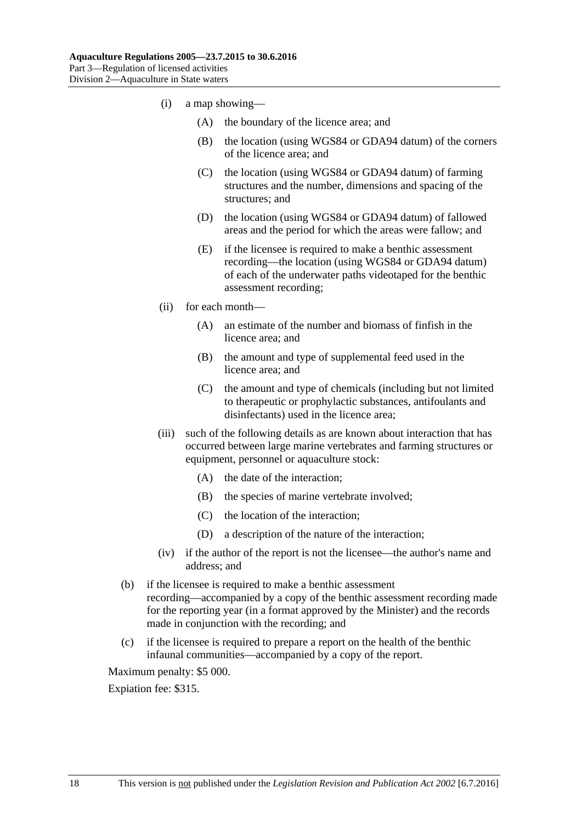- (i) a map showing—
	- (A) the boundary of the licence area; and
	- (B) the location (using WGS84 or GDA94 datum) of the corners of the licence area; and
	- (C) the location (using WGS84 or GDA94 datum) of farming structures and the number, dimensions and spacing of the structures; and
	- (D) the location (using WGS84 or GDA94 datum) of fallowed areas and the period for which the areas were fallow; and
	- (E) if the licensee is required to make a benthic assessment recording—the location (using WGS84 or GDA94 datum) of each of the underwater paths videotaped for the benthic assessment recording;
- (ii) for each month—
	- (A) an estimate of the number and biomass of finfish in the licence area; and
	- (B) the amount and type of supplemental feed used in the licence area; and
	- (C) the amount and type of chemicals (including but not limited to therapeutic or prophylactic substances, antifoulants and disinfectants) used in the licence area;
- (iii) such of the following details as are known about interaction that has occurred between large marine vertebrates and farming structures or equipment, personnel or aquaculture stock:
	- (A) the date of the interaction;
	- (B) the species of marine vertebrate involved;
	- (C) the location of the interaction;
	- (D) a description of the nature of the interaction;
- (iv) if the author of the report is not the licensee—the author's name and address; and
- (b) if the licensee is required to make a benthic assessment recording—accompanied by a copy of the benthic assessment recording made for the reporting year (in a format approved by the Minister) and the records made in conjunction with the recording; and
- (c) if the licensee is required to prepare a report on the health of the benthic infaunal communities—accompanied by a copy of the report.

Expiation fee: \$315.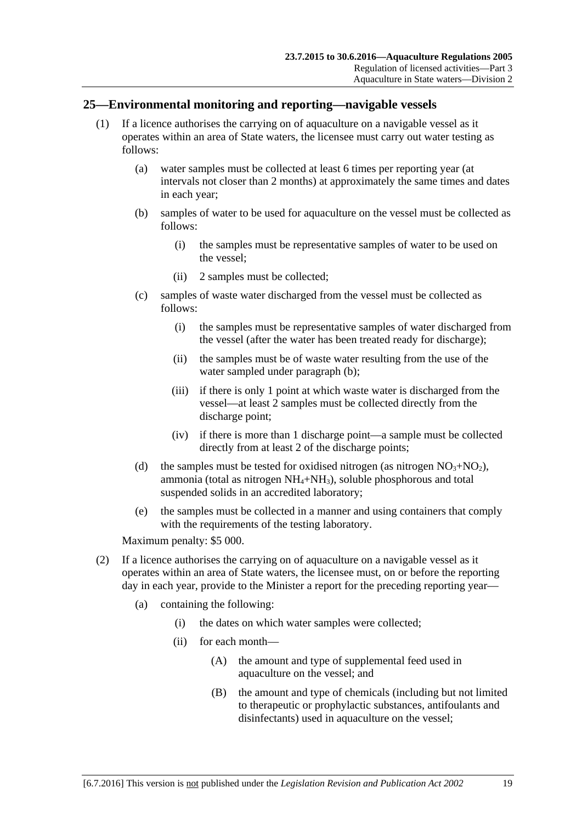#### <span id="page-18-0"></span>**25—Environmental monitoring and reporting—navigable vessels**

- <span id="page-18-1"></span>(1) If a licence authorises the carrying on of aquaculture on a navigable vessel as it operates within an area of State waters, the licensee must carry out water testing as follows:
	- (a) water samples must be collected at least 6 times per reporting year (at intervals not closer than 2 months) at approximately the same times and dates in each year;
	- (b) samples of water to be used for aquaculture on the vessel must be collected as follows:
		- (i) the samples must be representative samples of water to be used on the vessel;
		- (ii) 2 samples must be collected;
	- (c) samples of waste water discharged from the vessel must be collected as follows:
		- (i) the samples must be representative samples of water discharged from the vessel (after the water has been treated ready for discharge);
		- (ii) the samples must be of waste water resulting from the use of the water sampled under [paragraph](#page-18-1) (b);
		- (iii) if there is only 1 point at which waste water is discharged from the vessel—at least 2 samples must be collected directly from the discharge point;
		- (iv) if there is more than 1 discharge point—a sample must be collected directly from at least 2 of the discharge points;
	- (d) the samples must be tested for oxidised nitrogen (as nitrogen  $NO<sub>3</sub>+NO<sub>2</sub>$ ), ammonia (total as nitrogen  $NH_4+NH_3$ ), soluble phosphorous and total suspended solids in an accredited laboratory;
	- (e) the samples must be collected in a manner and using containers that comply with the requirements of the testing laboratory.

Maximum penalty: \$5 000.

- (2) If a licence authorises the carrying on of aquaculture on a navigable vessel as it operates within an area of State waters, the licensee must, on or before the reporting day in each year, provide to the Minister a report for the preceding reporting year—
	- (a) containing the following:
		- (i) the dates on which water samples were collected;
		- (ii) for each month—
			- (A) the amount and type of supplemental feed used in aquaculture on the vessel; and
			- (B) the amount and type of chemicals (including but not limited to therapeutic or prophylactic substances, antifoulants and disinfectants) used in aquaculture on the vessel;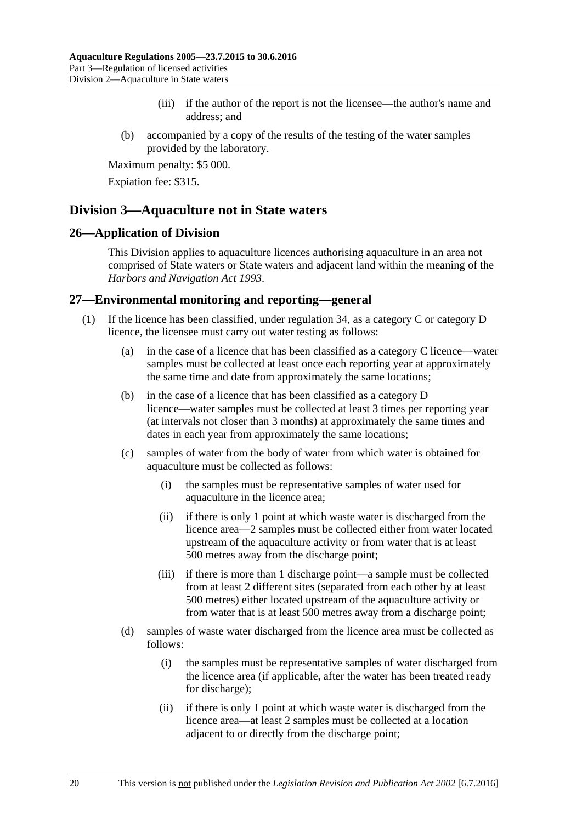- (iii) if the author of the report is not the licensee—the author's name and address; and
- (b) accompanied by a copy of the results of the testing of the water samples provided by the laboratory.

Expiation fee: \$315.

## <span id="page-19-0"></span>**Division 3—Aquaculture not in State waters**

#### <span id="page-19-1"></span>**26—Application of Division**

This Division applies to aquaculture licences authorising aquaculture in an area not comprised of State waters or State waters and adjacent land within the meaning of the *[Harbors and Navigation Act](http://www.legislation.sa.gov.au/index.aspx?action=legref&type=act&legtitle=Harbors%20and%20Navigation%20Act%201993) 1993*.

#### <span id="page-19-2"></span>**27—Environmental monitoring and reporting—general**

- (1) If the licence has been classified, under [regulation](#page-25-2) 34, as a category C or category D licence, the licensee must carry out water testing as follows:
	- (a) in the case of a licence that has been classified as a category C licence—water samples must be collected at least once each reporting year at approximately the same time and date from approximately the same locations;
	- (b) in the case of a licence that has been classified as a category D licence—water samples must be collected at least 3 times per reporting year (at intervals not closer than 3 months) at approximately the same times and dates in each year from approximately the same locations;
	- (c) samples of water from the body of water from which water is obtained for aquaculture must be collected as follows:
		- (i) the samples must be representative samples of water used for aquaculture in the licence area;
		- (ii) if there is only 1 point at which waste water is discharged from the licence area—2 samples must be collected either from water located upstream of the aquaculture activity or from water that is at least 500 metres away from the discharge point;
		- (iii) if there is more than 1 discharge point—a sample must be collected from at least 2 different sites (separated from each other by at least 500 metres) either located upstream of the aquaculture activity or from water that is at least 500 metres away from a discharge point;
	- (d) samples of waste water discharged from the licence area must be collected as follows:
		- (i) the samples must be representative samples of water discharged from the licence area (if applicable, after the water has been treated ready for discharge);
		- (ii) if there is only 1 point at which waste water is discharged from the licence area—at least 2 samples must be collected at a location adjacent to or directly from the discharge point;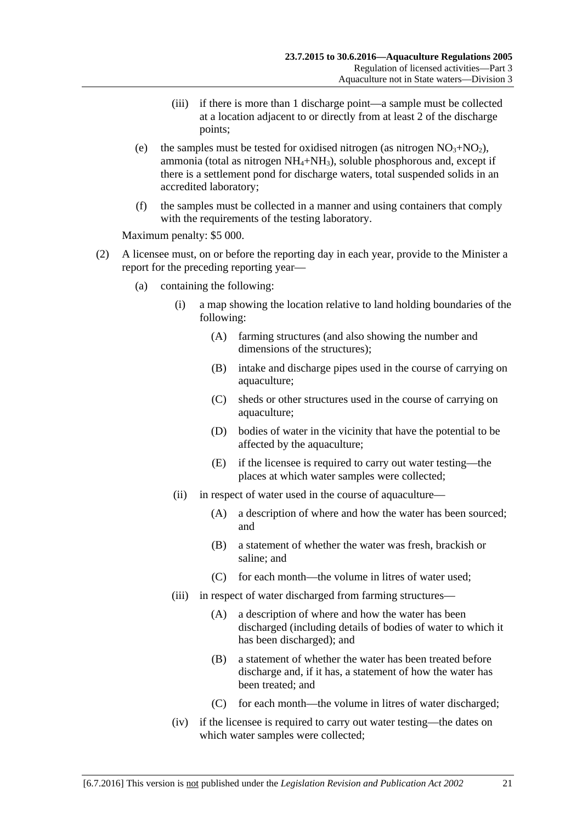- (iii) if there is more than 1 discharge point—a sample must be collected at a location adjacent to or directly from at least 2 of the discharge points;
- (e) the samples must be tested for oxidised nitrogen (as nitrogen  $NO<sub>3</sub>+NO<sub>2</sub>$ ), ammonia (total as nitrogen  $NH_4+NH_3$ ), soluble phosphorous and, except if there is a settlement pond for discharge waters, total suspended solids in an accredited laboratory;
- (f) the samples must be collected in a manner and using containers that comply with the requirements of the testing laboratory.

- (2) A licensee must, on or before the reporting day in each year, provide to the Minister a report for the preceding reporting year—
	- (a) containing the following:
		- (i) a map showing the location relative to land holding boundaries of the following:
			- (A) farming structures (and also showing the number and dimensions of the structures);
			- (B) intake and discharge pipes used in the course of carrying on aquaculture;
			- (C) sheds or other structures used in the course of carrying on aquaculture;
			- (D) bodies of water in the vicinity that have the potential to be affected by the aquaculture;
			- (E) if the licensee is required to carry out water testing—the places at which water samples were collected;
		- (ii) in respect of water used in the course of aquaculture—
			- (A) a description of where and how the water has been sourced; and
			- (B) a statement of whether the water was fresh, brackish or saline; and
			- (C) for each month—the volume in litres of water used;
		- (iii) in respect of water discharged from farming structures—
			- (A) a description of where and how the water has been discharged (including details of bodies of water to which it has been discharged); and
			- (B) a statement of whether the water has been treated before discharge and, if it has, a statement of how the water has been treated; and
			- (C) for each month—the volume in litres of water discharged;
		- (iv) if the licensee is required to carry out water testing—the dates on which water samples were collected;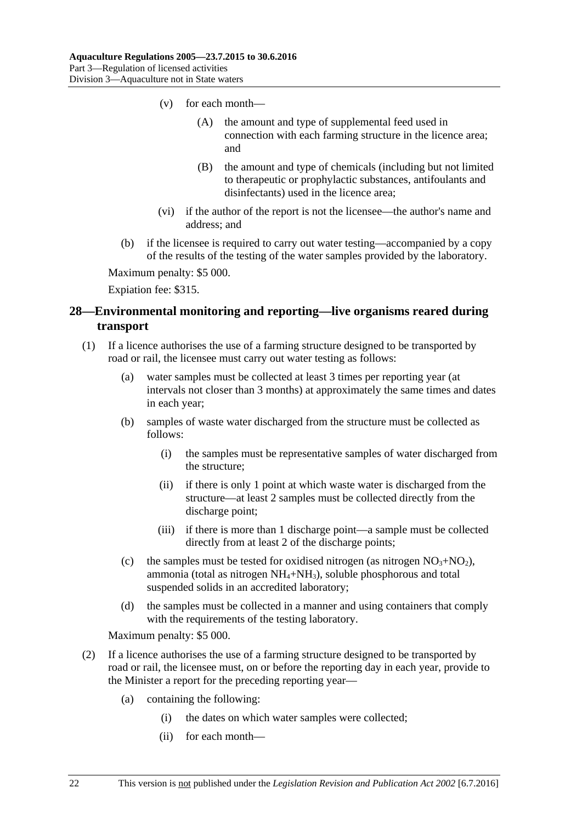- (v) for each month—
	- (A) the amount and type of supplemental feed used in connection with each farming structure in the licence area; and
	- (B) the amount and type of chemicals (including but not limited to therapeutic or prophylactic substances, antifoulants and disinfectants) used in the licence area;
- (vi) if the author of the report is not the licensee—the author's name and address; and
- (b) if the licensee is required to carry out water testing—accompanied by a copy of the results of the testing of the water samples provided by the laboratory.

Expiation fee: \$315.

# <span id="page-21-0"></span>**28—Environmental monitoring and reporting—live organisms reared during transport**

- (1) If a licence authorises the use of a farming structure designed to be transported by road or rail, the licensee must carry out water testing as follows:
	- (a) water samples must be collected at least 3 times per reporting year (at intervals not closer than 3 months) at approximately the same times and dates in each year;
	- (b) samples of waste water discharged from the structure must be collected as follows:
		- (i) the samples must be representative samples of water discharged from the structure;
		- (ii) if there is only 1 point at which waste water is discharged from the structure—at least 2 samples must be collected directly from the discharge point;
		- (iii) if there is more than 1 discharge point—a sample must be collected directly from at least 2 of the discharge points;
	- (c) the samples must be tested for oxidised nitrogen (as nitrogen  $NO<sub>3</sub>+NO<sub>2</sub>$ ), ammonia (total as nitrogen  $NH_4+NH_3$ ), soluble phosphorous and total suspended solids in an accredited laboratory;
	- (d) the samples must be collected in a manner and using containers that comply with the requirements of the testing laboratory.

Maximum penalty: \$5 000.

- (2) If a licence authorises the use of a farming structure designed to be transported by road or rail, the licensee must, on or before the reporting day in each year, provide to the Minister a report for the preceding reporting year—
	- (a) containing the following:
		- (i) the dates on which water samples were collected;
		- (ii) for each month—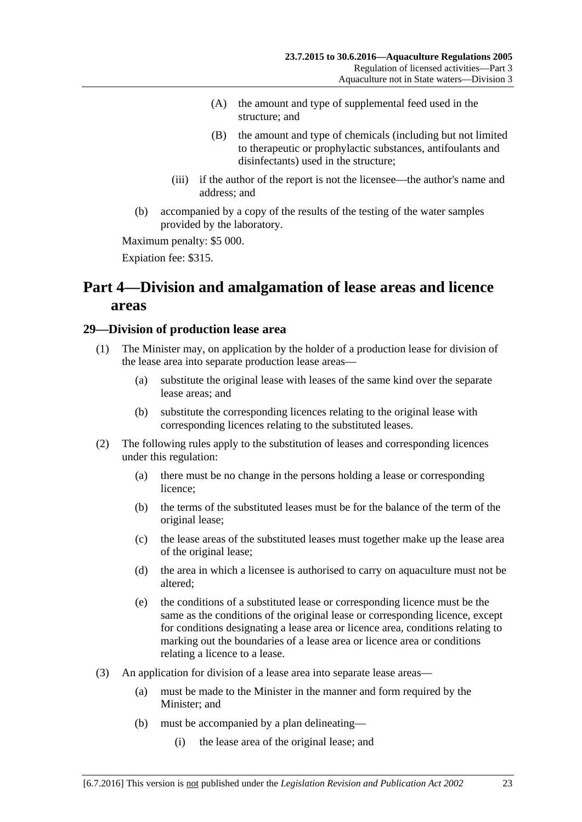- (A) the amount and type of supplemental feed used in the structure; and
- (B) the amount and type of chemicals (including but not limited to therapeutic or prophylactic substances, antifoulants and disinfectants) used in the structure;
- (iii) if the author of the report is not the licensee—the author's name and address; and
- (b) accompanied by a copy of the results of the testing of the water samples provided by the laboratory.

Expiation fee: \$315.

# <span id="page-22-0"></span>**Part 4—Division and amalgamation of lease areas and licence areas**

#### <span id="page-22-1"></span>**29—Division of production lease area**

- (1) The Minister may, on application by the holder of a production lease for division of the lease area into separate production lease areas—
	- (a) substitute the original lease with leases of the same kind over the separate lease areas; and
	- (b) substitute the corresponding licences relating to the original lease with corresponding licences relating to the substituted leases.
- (2) The following rules apply to the substitution of leases and corresponding licences under this regulation:
	- (a) there must be no change in the persons holding a lease or corresponding licence;
	- (b) the terms of the substituted leases must be for the balance of the term of the original lease;
	- (c) the lease areas of the substituted leases must together make up the lease area of the original lease;
	- (d) the area in which a licensee is authorised to carry on aquaculture must not be altered;
	- (e) the conditions of a substituted lease or corresponding licence must be the same as the conditions of the original lease or corresponding licence, except for conditions designating a lease area or licence area, conditions relating to marking out the boundaries of a lease area or licence area or conditions relating a licence to a lease.
- (3) An application for division of a lease area into separate lease areas—
	- (a) must be made to the Minister in the manner and form required by the Minister; and
	- (b) must be accompanied by a plan delineating—
		- (i) the lease area of the original lease; and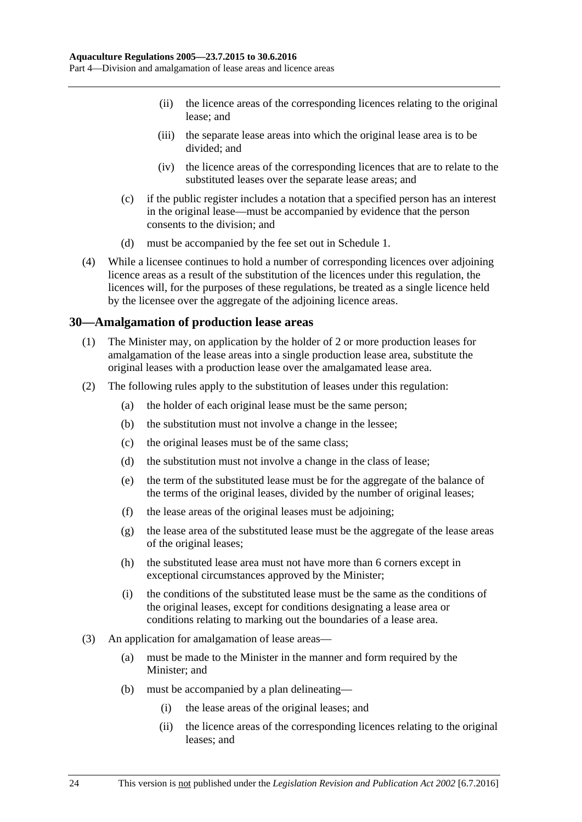- (ii) the licence areas of the corresponding licences relating to the original lease; and
- (iii) the separate lease areas into which the original lease area is to be divided; and
- (iv) the licence areas of the corresponding licences that are to relate to the substituted leases over the separate lease areas; and
- (c) if the public register includes a notation that a specified person has an interest in the original lease—must be accompanied by evidence that the person consents to the division; and
- (d) must be accompanied by the fee set out in [Schedule 1.](#page-28-1)
- (4) While a licensee continues to hold a number of corresponding licences over adjoining licence areas as a result of the substitution of the licences under this regulation, the licences will, for the purposes of these regulations, be treated as a single licence held by the licensee over the aggregate of the adjoining licence areas.

#### <span id="page-23-0"></span>**30—Amalgamation of production lease areas**

- (1) The Minister may, on application by the holder of 2 or more production leases for amalgamation of the lease areas into a single production lease area, substitute the original leases with a production lease over the amalgamated lease area.
- (2) The following rules apply to the substitution of leases under this regulation:
	- (a) the holder of each original lease must be the same person;
	- (b) the substitution must not involve a change in the lessee;
	- (c) the original leases must be of the same class;
	- (d) the substitution must not involve a change in the class of lease;
	- (e) the term of the substituted lease must be for the aggregate of the balance of the terms of the original leases, divided by the number of original leases;
	- (f) the lease areas of the original leases must be adjoining;
	- (g) the lease area of the substituted lease must be the aggregate of the lease areas of the original leases;
	- (h) the substituted lease area must not have more than 6 corners except in exceptional circumstances approved by the Minister;
	- (i) the conditions of the substituted lease must be the same as the conditions of the original leases, except for conditions designating a lease area or conditions relating to marking out the boundaries of a lease area.
- (3) An application for amalgamation of lease areas—
	- (a) must be made to the Minister in the manner and form required by the Minister; and
	- (b) must be accompanied by a plan delineating—
		- (i) the lease areas of the original leases; and
		- (ii) the licence areas of the corresponding licences relating to the original leases; and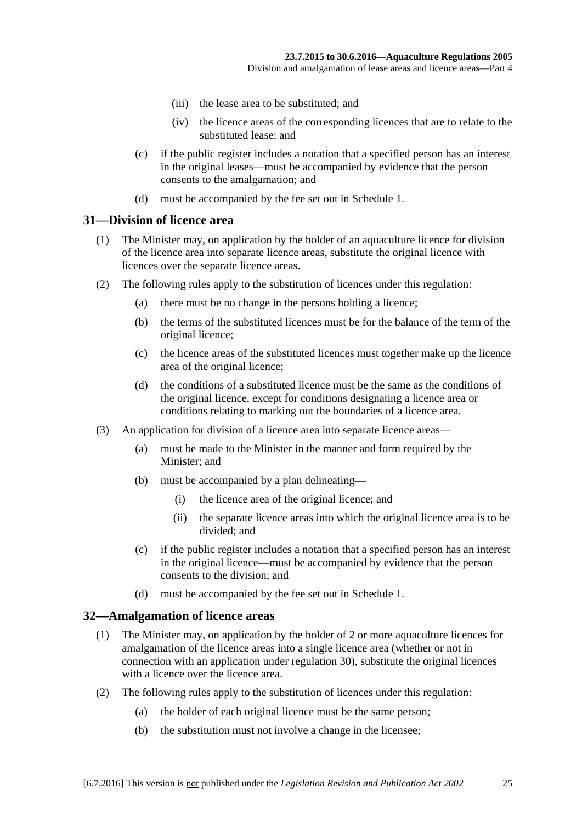- (iii) the lease area to be substituted; and
- (iv) the licence areas of the corresponding licences that are to relate to the substituted lease; and
- (c) if the public register includes a notation that a specified person has an interest in the original leases—must be accompanied by evidence that the person consents to the amalgamation; and
- (d) must be accompanied by the fee set out in [Schedule 1.](#page-28-1)

#### <span id="page-24-0"></span>**31—Division of licence area**

- (1) The Minister may, on application by the holder of an aquaculture licence for division of the licence area into separate licence areas, substitute the original licence with licences over the separate licence areas.
- (2) The following rules apply to the substitution of licences under this regulation:
	- (a) there must be no change in the persons holding a licence;
	- (b) the terms of the substituted licences must be for the balance of the term of the original licence;
	- (c) the licence areas of the substituted licences must together make up the licence area of the original licence;
	- (d) the conditions of a substituted licence must be the same as the conditions of the original licence, except for conditions designating a licence area or conditions relating to marking out the boundaries of a licence area.
- (3) An application for division of a licence area into separate licence areas—
	- (a) must be made to the Minister in the manner and form required by the Minister; and
	- (b) must be accompanied by a plan delineating—
		- (i) the licence area of the original licence; and
		- (ii) the separate licence areas into which the original licence area is to be divided; and
	- (c) if the public register includes a notation that a specified person has an interest in the original licence—must be accompanied by evidence that the person consents to the division; and
	- (d) must be accompanied by the fee set out in [Schedule 1.](#page-28-1)

#### <span id="page-24-1"></span>**32—Amalgamation of licence areas**

- (1) The Minister may, on application by the holder of 2 or more aquaculture licences for amalgamation of the licence areas into a single licence area (whether or not in connection with an application under regulation 30), substitute the original licences with a licence over the licence area.
- (2) The following rules apply to the substitution of licences under this regulation:
	- (a) the holder of each original licence must be the same person;
	- (b) the substitution must not involve a change in the licensee;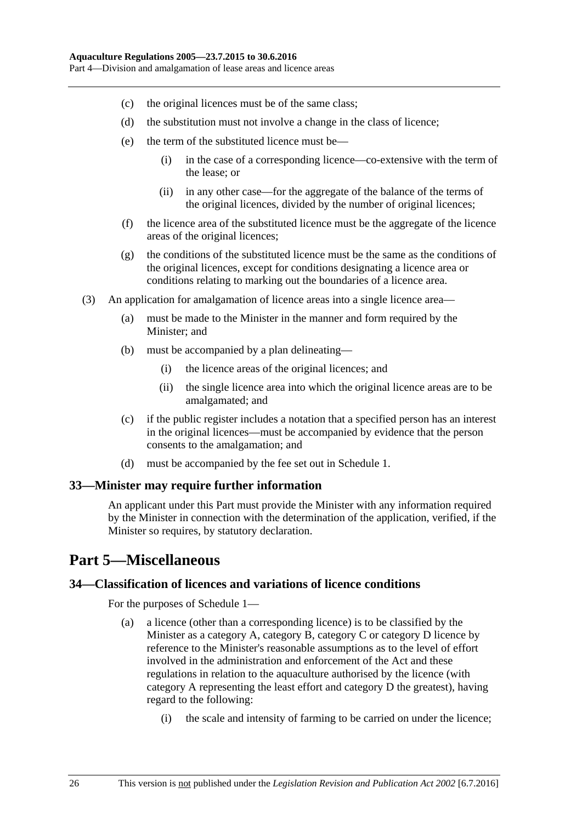- (c) the original licences must be of the same class;
- (d) the substitution must not involve a change in the class of licence;
- (e) the term of the substituted licence must be—
	- (i) in the case of a corresponding licence—co-extensive with the term of the lease; or
	- (ii) in any other case—for the aggregate of the balance of the terms of the original licences, divided by the number of original licences;
- (f) the licence area of the substituted licence must be the aggregate of the licence areas of the original licences;
- (g) the conditions of the substituted licence must be the same as the conditions of the original licences, except for conditions designating a licence area or conditions relating to marking out the boundaries of a licence area.
- (3) An application for amalgamation of licence areas into a single licence area—
	- (a) must be made to the Minister in the manner and form required by the Minister; and
	- (b) must be accompanied by a plan delineating—
		- (i) the licence areas of the original licences; and
		- (ii) the single licence area into which the original licence areas are to be amalgamated; and
	- (c) if the public register includes a notation that a specified person has an interest in the original licences—must be accompanied by evidence that the person consents to the amalgamation; and
	- (d) must be accompanied by the fee set out in [Schedule 1.](#page-28-1)

#### <span id="page-25-0"></span>**33—Minister may require further information**

An applicant under this Part must provide the Minister with any information required by the Minister in connection with the determination of the application, verified, if the Minister so requires, by statutory declaration.

# <span id="page-25-1"></span>**Part 5—Miscellaneous**

#### <span id="page-25-3"></span><span id="page-25-2"></span>**34—Classification of licences and variations of licence conditions**

For the purposes of [Schedule 1—](#page-28-1)

- (a) a licence (other than a corresponding licence) is to be classified by the Minister as a category A, category B, category C or category D licence by reference to the Minister's reasonable assumptions as to the level of effort involved in the administration and enforcement of the Act and these regulations in relation to the aquaculture authorised by the licence (with category A representing the least effort and category D the greatest), having regard to the following:
	- (i) the scale and intensity of farming to be carried on under the licence;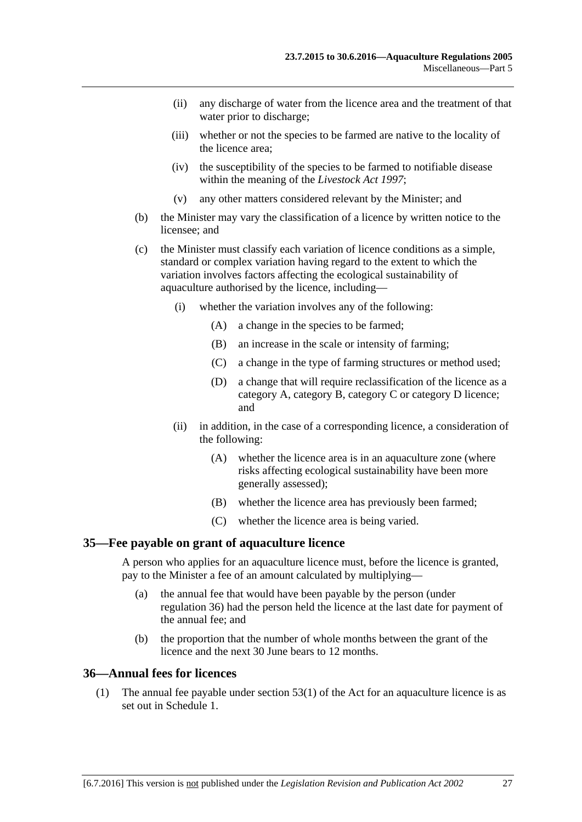- (ii) any discharge of water from the licence area and the treatment of that water prior to discharge;
- (iii) whether or not the species to be farmed are native to the locality of the licence area;
- (iv) the susceptibility of the species to be farmed to notifiable disease within the meaning of the *[Livestock Act](http://www.legislation.sa.gov.au/index.aspx?action=legref&type=act&legtitle=Livestock%20Act%201997) 1997*;
- (v) any other matters considered relevant by the Minister; and
- (b) the Minister may vary the classification of a licence by written notice to the licensee; and
- (c) the Minister must classify each variation of licence conditions as a simple, standard or complex variation having regard to the extent to which the variation involves factors affecting the ecological sustainability of aquaculture authorised by the licence, including—
	- (i) whether the variation involves any of the following:
		- (A) a change in the species to be farmed;
		- (B) an increase in the scale or intensity of farming;
		- (C) a change in the type of farming structures or method used;
		- (D) a change that will require reclassification of the licence as a category A, category B, category C or category D licence; and
	- (ii) in addition, in the case of a corresponding licence, a consideration of the following:
		- (A) whether the licence area is in an aquaculture zone (where risks affecting ecological sustainability have been more generally assessed);
		- (B) whether the licence area has previously been farmed;
		- (C) whether the licence area is being varied.

#### <span id="page-26-0"></span>**35—Fee payable on grant of aquaculture licence**

A person who applies for an aquaculture licence must, before the licence is granted, pay to the Minister a fee of an amount calculated by multiplying—

- (a) the annual fee that would have been payable by the person (under [regulation](#page-26-1) 36) had the person held the licence at the last date for payment of the annual fee; and
- (b) the proportion that the number of whole months between the grant of the licence and the next 30 June bears to 12 months.

#### <span id="page-26-1"></span>**36—Annual fees for licences**

(1) The annual fee payable under section 53(1) of the Act for an aquaculture licence is as set out in [Schedule 1.](#page-28-1)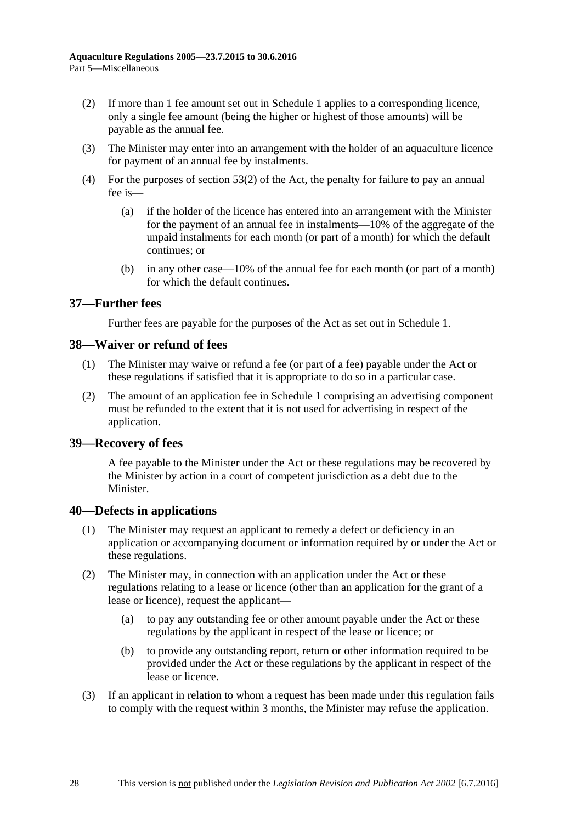- (2) If more than 1 fee amount set out in [Schedule 1](#page-28-1) applies to a corresponding licence, only a single fee amount (being the higher or highest of those amounts) will be payable as the annual fee.
- (3) The Minister may enter into an arrangement with the holder of an aquaculture licence for payment of an annual fee by instalments.
- (4) For the purposes of section 53(2) of the Act, the penalty for failure to pay an annual fee is—
	- (a) if the holder of the licence has entered into an arrangement with the Minister for the payment of an annual fee in instalments—10% of the aggregate of the unpaid instalments for each month (or part of a month) for which the default continues; or
	- (b) in any other case—10% of the annual fee for each month (or part of a month) for which the default continues.

#### <span id="page-27-0"></span>**37—Further fees**

Further fees are payable for the purposes of the Act as set out in [Schedule 1.](#page-28-1)

#### <span id="page-27-1"></span>**38—Waiver or refund of fees**

- (1) The Minister may waive or refund a fee (or part of a fee) payable under the Act or these regulations if satisfied that it is appropriate to do so in a particular case.
- (2) The amount of an application fee in [Schedule 1](#page-28-1) comprising an advertising component must be refunded to the extent that it is not used for advertising in respect of the application.

#### <span id="page-27-2"></span>**39—Recovery of fees**

A fee payable to the Minister under the Act or these regulations may be recovered by the Minister by action in a court of competent jurisdiction as a debt due to the Minister.

#### <span id="page-27-3"></span>**40—Defects in applications**

- (1) The Minister may request an applicant to remedy a defect or deficiency in an application or accompanying document or information required by or under the Act or these regulations.
- (2) The Minister may, in connection with an application under the Act or these regulations relating to a lease or licence (other than an application for the grant of a lease or licence), request the applicant—
	- (a) to pay any outstanding fee or other amount payable under the Act or these regulations by the applicant in respect of the lease or licence; or
	- (b) to provide any outstanding report, return or other information required to be provided under the Act or these regulations by the applicant in respect of the lease or licence.
- (3) If an applicant in relation to whom a request has been made under this regulation fails to comply with the request within 3 months, the Minister may refuse the application.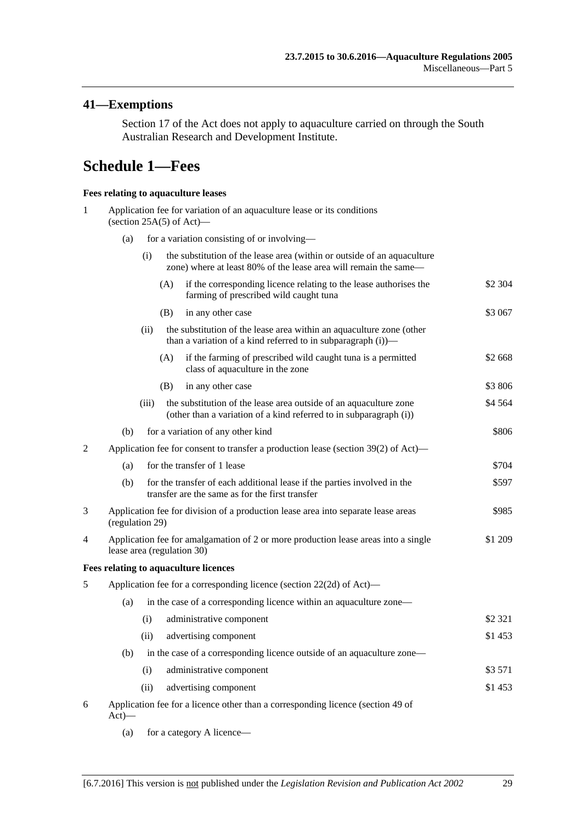# <span id="page-28-0"></span>**41—Exemptions**

Section 17 of the Act does not apply to aquaculture carried on through the South Australian Research and Development Institute.

# <span id="page-28-1"></span>**Schedule 1—Fees**

#### **Fees relating to aquaculture leases**

| 1 | Application fee for variation of an aquaculture lease or its conditions<br>(section $25A(5)$ of Act)—                       |       |                                             |                                                                                                                                             |           |  |
|---|-----------------------------------------------------------------------------------------------------------------------------|-------|---------------------------------------------|---------------------------------------------------------------------------------------------------------------------------------------------|-----------|--|
|   | (a)                                                                                                                         |       | for a variation consisting of or involving— |                                                                                                                                             |           |  |
|   |                                                                                                                             | (i)   |                                             | the substitution of the lease area (within or outside of an aquaculture<br>zone) where at least 80% of the lease area will remain the same— |           |  |
|   |                                                                                                                             |       | (A)                                         | if the corresponding licence relating to the lease authorises the<br>farming of prescribed wild caught tuna                                 | \$2 304   |  |
|   |                                                                                                                             |       | (B)                                         | in any other case                                                                                                                           | \$3 067   |  |
|   |                                                                                                                             | (ii)  |                                             | the substitution of the lease area within an aquaculture zone (other<br>than a variation of a kind referred to in subparagraph $(i)$ —      |           |  |
|   |                                                                                                                             |       | (A)                                         | if the farming of prescribed wild caught tuna is a permitted<br>class of aquaculture in the zone                                            | \$2 668   |  |
|   |                                                                                                                             |       | (B)                                         | in any other case                                                                                                                           | \$3 806   |  |
|   |                                                                                                                             | (iii) |                                             | the substitution of the lease area outside of an aquaculture zone<br>(other than a variation of a kind referred to in subparagraph (i))     | \$4 5 64  |  |
|   | (b)                                                                                                                         |       |                                             | for a variation of any other kind                                                                                                           | \$806     |  |
| 2 |                                                                                                                             |       |                                             | Application fee for consent to transfer a production lease (section 39(2) of Act)—                                                          |           |  |
|   | (a)                                                                                                                         |       |                                             | for the transfer of 1 lease                                                                                                                 | \$704     |  |
|   | (b)                                                                                                                         |       |                                             | for the transfer of each additional lease if the parties involved in the<br>transfer are the same as for the first transfer                 | \$597     |  |
| 3 | Application fee for division of a production lease area into separate lease areas<br>\$985<br>(regulation 29)               |       |                                             |                                                                                                                                             |           |  |
| 4 | Application fee for amalgamation of 2 or more production lease areas into a single<br>\$1 209<br>lease area (regulation 30) |       |                                             |                                                                                                                                             |           |  |
|   |                                                                                                                             |       |                                             | Fees relating to aquaculture licences                                                                                                       |           |  |
| 5 |                                                                                                                             |       |                                             | Application fee for a corresponding licence (section 22(2d) of Act)—                                                                        |           |  |
|   | in the case of a corresponding licence within an aquaculture zone—<br>(a)                                                   |       |                                             |                                                                                                                                             |           |  |
|   |                                                                                                                             | (i)   |                                             | administrative component                                                                                                                    | \$2 3 2 1 |  |
|   |                                                                                                                             | (ii)  |                                             | advertising component                                                                                                                       | \$1453    |  |
|   | (b)                                                                                                                         |       |                                             | in the case of a corresponding licence outside of an aquaculture zone—                                                                      |           |  |
|   |                                                                                                                             | (i)   |                                             | administrative component                                                                                                                    | \$3571    |  |
|   |                                                                                                                             | (ii)  |                                             | advertising component                                                                                                                       | \$1453    |  |
| 6 | Application fee for a licence other than a corresponding licence (section 49 of<br>$Act)$ —                                 |       |                                             |                                                                                                                                             |           |  |

(a) for a category A licence—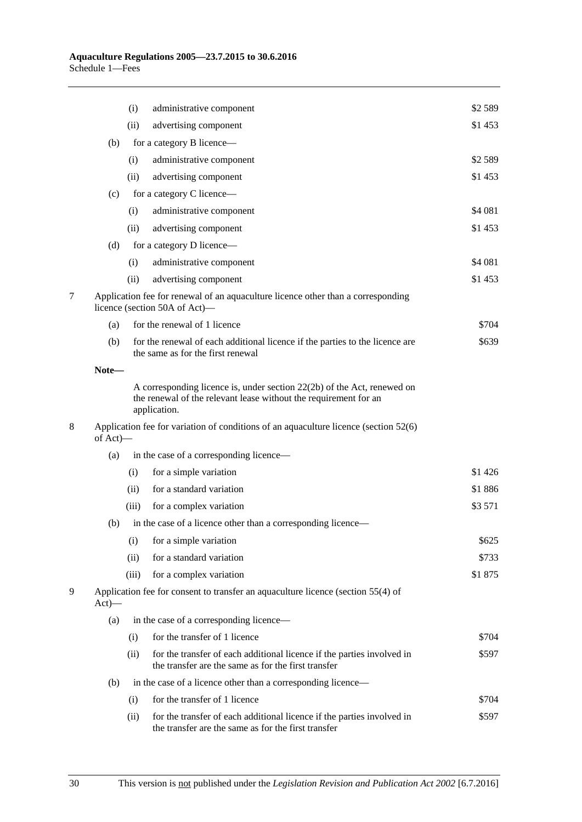|   |          | (i)   | administrative component                                                                                                                                      | \$2 5 8 9 |
|---|----------|-------|---------------------------------------------------------------------------------------------------------------------------------------------------------------|-----------|
|   |          | (ii)  | advertising component                                                                                                                                         | \$1453    |
|   | (b)      |       | for a category B licence—                                                                                                                                     |           |
|   |          | (i)   | administrative component                                                                                                                                      | \$2589    |
|   |          | (ii)  | advertising component                                                                                                                                         | \$1453    |
|   | (c)      |       | for a category C licence—                                                                                                                                     |           |
|   |          | (i)   | administrative component                                                                                                                                      | \$4 081   |
|   |          | (ii)  | advertising component                                                                                                                                         | \$1 453   |
|   | (d)      |       | for a category D licence—                                                                                                                                     |           |
|   |          | (i)   | administrative component                                                                                                                                      | \$4 081   |
|   |          | (ii)  | advertising component                                                                                                                                         | \$1453    |
| 7 |          |       | Application fee for renewal of an aquaculture licence other than a corresponding<br>licence (section 50A of Act)—                                             |           |
|   | (a)      |       | for the renewal of 1 licence                                                                                                                                  | \$704     |
|   | (b)      |       | for the renewal of each additional licence if the parties to the licence are<br>the same as for the first renewal                                             | \$639     |
|   | Note-    |       |                                                                                                                                                               |           |
|   |          |       | A corresponding licence is, under section $22(2b)$ of the Act, renewed on<br>the renewal of the relevant lease without the requirement for an<br>application. |           |
| 8 | of Act)- |       | Application fee for variation of conditions of an aquaculture licence (section 52(6)                                                                          |           |
|   | (a)      |       | in the case of a corresponding licence—                                                                                                                       |           |
|   |          | (i)   | for a simple variation                                                                                                                                        | \$1426    |
|   |          | (ii)  | for a standard variation                                                                                                                                      | \$1886    |
|   |          | (iii) | for a complex variation                                                                                                                                       | \$3 571   |
|   | (b)      |       | in the case of a licence other than a corresponding licence—                                                                                                  |           |
|   |          | (i)   | for a simple variation                                                                                                                                        | \$625     |
|   |          | (ii)  | for a standard variation                                                                                                                                      | \$733     |
|   |          | (iii) | for a complex variation                                                                                                                                       | \$1875    |
| 9 | $Act)$ — |       | Application fee for consent to transfer an aquaculture licence (section 55(4) of                                                                              |           |
|   | (a)      |       | in the case of a corresponding licence—                                                                                                                       |           |
|   |          | (i)   | for the transfer of 1 licence                                                                                                                                 | \$704     |
|   |          | (ii)  | for the transfer of each additional licence if the parties involved in<br>the transfer are the same as for the first transfer                                 | \$597     |
|   | (b)      |       | in the case of a licence other than a corresponding licence—                                                                                                  |           |
|   |          | (i)   | for the transfer of 1 licence                                                                                                                                 | \$704     |
|   |          | (ii)  | for the transfer of each additional licence if the parties involved in<br>the transfer are the same as for the first transfer                                 | \$597     |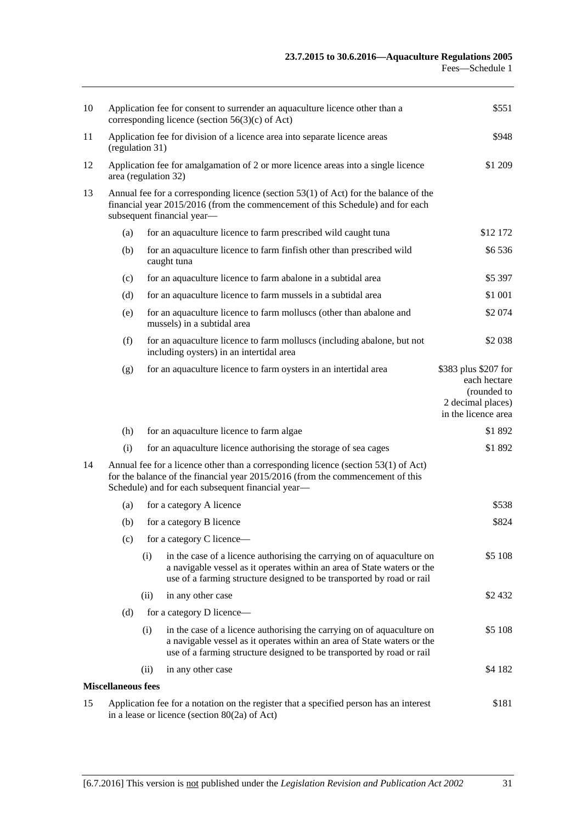| 10 | Application fee for consent to surrender an aquaculture licence other than a<br>corresponding licence (section $56(3)(c)$ of Act)                                                                    |      |                                                                                                                                                                                                                            | \$551                                                                                           |  |  |
|----|------------------------------------------------------------------------------------------------------------------------------------------------------------------------------------------------------|------|----------------------------------------------------------------------------------------------------------------------------------------------------------------------------------------------------------------------------|-------------------------------------------------------------------------------------------------|--|--|
| 11 | Application fee for division of a licence area into separate licence areas<br>(regulation 31)                                                                                                        |      |                                                                                                                                                                                                                            | \$948                                                                                           |  |  |
| 12 | Application fee for amalgamation of 2 or more licence areas into a single licence<br>area (regulation 32)                                                                                            |      |                                                                                                                                                                                                                            | \$1 209                                                                                         |  |  |
| 13 | Annual fee for a corresponding licence (section 53(1) of Act) for the balance of the<br>financial year 2015/2016 (from the commencement of this Schedule) and for each<br>subsequent financial year- |      |                                                                                                                                                                                                                            |                                                                                                 |  |  |
|    | (a)                                                                                                                                                                                                  |      | for an aquaculture licence to farm prescribed wild caught tuna                                                                                                                                                             | \$12 172                                                                                        |  |  |
|    | (b)                                                                                                                                                                                                  |      | for an aquaculture licence to farm finfish other than prescribed wild<br>caught tuna                                                                                                                                       | \$6536                                                                                          |  |  |
|    | (c)                                                                                                                                                                                                  |      | for an aquaculture licence to farm abalone in a subtidal area                                                                                                                                                              | \$5 397                                                                                         |  |  |
|    | (d)                                                                                                                                                                                                  |      | for an aquaculture licence to farm mussels in a subtidal area                                                                                                                                                              | \$1 001                                                                                         |  |  |
|    | (e)                                                                                                                                                                                                  |      | for an aquaculture licence to farm molluscs (other than abalone and<br>mussels) in a subtidal area                                                                                                                         | \$2074                                                                                          |  |  |
|    | (f)                                                                                                                                                                                                  |      | for an aquaculture licence to farm molluscs (including abalone, but not<br>including oysters) in an intertidal area                                                                                                        | \$2 0 38                                                                                        |  |  |
|    | (g)                                                                                                                                                                                                  |      | for an aquaculture licence to farm oysters in an intertidal area                                                                                                                                                           | \$383 plus \$207 for<br>each hectare<br>(rounded to<br>2 decimal places)<br>in the licence area |  |  |
|    | (h)                                                                                                                                                                                                  |      | for an aquaculture licence to farm algae                                                                                                                                                                                   | \$1892                                                                                          |  |  |
|    | (i)                                                                                                                                                                                                  |      | for an aquaculture licence authorising the storage of sea cages                                                                                                                                                            | \$1892                                                                                          |  |  |
| 14 |                                                                                                                                                                                                      |      | Annual fee for a licence other than a corresponding licence (section 53(1) of Act)<br>for the balance of the financial year 2015/2016 (from the commencement of this<br>Schedule) and for each subsequent financial year-  |                                                                                                 |  |  |
|    | (a)                                                                                                                                                                                                  |      | for a category A licence                                                                                                                                                                                                   | \$538                                                                                           |  |  |
|    | (b)                                                                                                                                                                                                  |      | for a category B licence                                                                                                                                                                                                   | \$824                                                                                           |  |  |
|    | (c)                                                                                                                                                                                                  |      | for a category C licence-                                                                                                                                                                                                  |                                                                                                 |  |  |
|    |                                                                                                                                                                                                      | (i)  | in the case of a licence authorising the carrying on of aquaculture on<br>a navigable vessel as it operates within an area of State waters or the<br>use of a farming structure designed to be transported by road or rail | \$5 108                                                                                         |  |  |
|    |                                                                                                                                                                                                      | (ii) | in any other case                                                                                                                                                                                                          | \$2432                                                                                          |  |  |
|    | (d)                                                                                                                                                                                                  |      | for a category D licence—                                                                                                                                                                                                  |                                                                                                 |  |  |
|    |                                                                                                                                                                                                      | (i)  | in the case of a licence authorising the carrying on of aquaculture on<br>a navigable vessel as it operates within an area of State waters or the<br>use of a farming structure designed to be transported by road or rail | \$5 108                                                                                         |  |  |
|    |                                                                                                                                                                                                      | (ii) | in any other case                                                                                                                                                                                                          | \$4 182                                                                                         |  |  |
|    | <b>Miscellaneous fees</b>                                                                                                                                                                            |      |                                                                                                                                                                                                                            |                                                                                                 |  |  |
| 15 | Application fee for a notation on the register that a specified person has an interest<br>\$181<br>in a lease or licence (section $80(2a)$ of Act)                                                   |      |                                                                                                                                                                                                                            |                                                                                                 |  |  |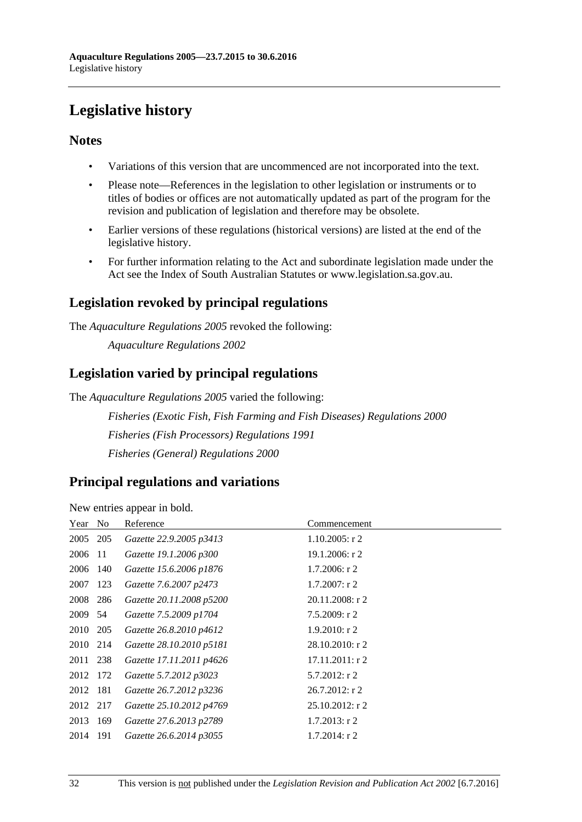# <span id="page-31-0"></span>**Legislative history**

# **Notes**

- Variations of this version that are uncommenced are not incorporated into the text.
- Please note—References in the legislation to other legislation or instruments or to titles of bodies or offices are not automatically updated as part of the program for the revision and publication of legislation and therefore may be obsolete.
- Earlier versions of these regulations (historical versions) are listed at the end of the legislative history.
- For further information relating to the Act and subordinate legislation made under the Act see the Index of South Australian Statutes or www.legislation.sa.gov.au.

# **Legislation revoked by principal regulations**

The *Aquaculture Regulations 2005* revoked the following:

*Aquaculture Regulations 2002*

# **Legislation varied by principal regulations**

The *Aquaculture Regulations 2005* varied the following:

*Fisheries (Exotic Fish, Fish Farming and Fish Diseases) Regulations 2000 Fisheries (Fish Processors) Regulations 1991 Fisheries (General) Regulations 2000*

# **Principal regulations and variations**

New entries appear in bold.

| Year No  |     | Reference                | Commencement       |
|----------|-----|--------------------------|--------------------|
| 2005 205 |     | Gazette 22.9.2005 p3413  | $1.10.2005$ : r 2  |
| 2006 11  |     | Gazette 19.1.2006 p300   | 19.1.2006: r 2     |
| 2006 140 |     | Gazette 15.6.2006 p1876  | $1.7.2006$ : r 2   |
| 2007     | 123 | Gazette 7.6.2007 p2473   | $1.7.2007$ : r 2   |
| 2008 286 |     | Gazette 20.11.2008 p5200 | 20.11.2008: r 2    |
| 2009 54  |     | Gazette 7.5.2009 p1704   | 7.5.2009: r2       |
| 2010 205 |     | Gazette 26.8.2010 p4612  | $1.9.2010$ : r 2   |
| 2010 214 |     | Gazette 28.10.2010 p5181 | $28.10.2010$ : r 2 |
| 2011 238 |     | Gazette 17.11.2011 p4626 | $17.11.2011:$ r 2  |
| 2012 172 |     | Gazette 5.7.2012 p3023   | 5.7.2012: r 2      |
| 2012 181 |     | Gazette 26.7.2012 p3236  | $26.7.2012$ : r 2  |
| 2012 217 |     | Gazette 25.10.2012 p4769 | $25.10.2012$ : r 2 |
| 2013 169 |     | Gazette 27.6.2013 p2789  | $1.7.2013$ : r 2   |
| 2014     | 191 | Gazette 26.6.2014 p3055  | $1.7.2014$ : r 2   |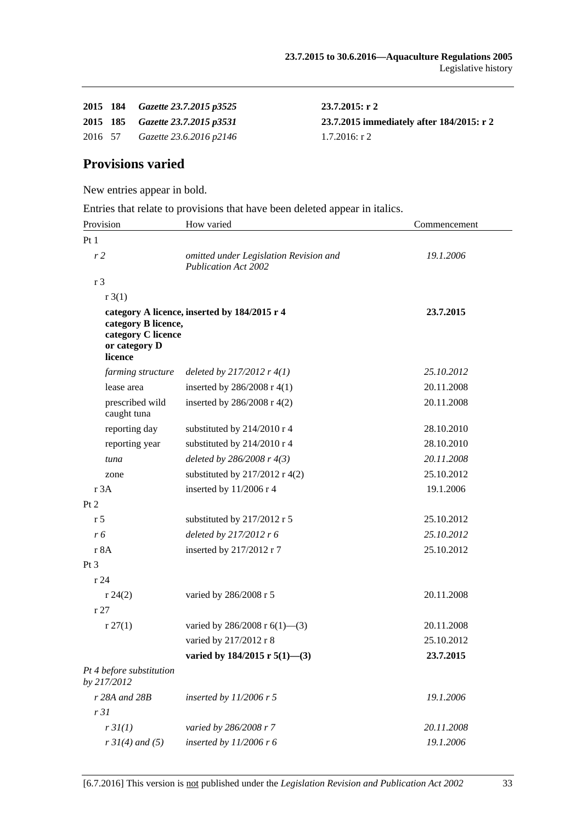|         | 2015 184 Gazette 23.7.2015 p3525 | $23.7.2015:$ r 2                          |
|---------|----------------------------------|-------------------------------------------|
|         | 2015 185 Gazette 23.7.2015 p3531 | 23.7.2015 immediately after 184/2015: r 2 |
| 2016 57 | Gazette 23.6.2016 p2146          | 1.7.2016: r 2                             |

# **Provisions varied**

New entries appear in bold.

Entries that relate to provisions that have been deleted appear in italics.

| Provision                                                             | How varied                                                            | Commencement |  |
|-----------------------------------------------------------------------|-----------------------------------------------------------------------|--------------|--|
| Pt1                                                                   |                                                                       |              |  |
| r <sub>2</sub>                                                        | omitted under Legislation Revision and<br><b>Publication Act 2002</b> | 19.1.2006    |  |
| r <sub>3</sub>                                                        |                                                                       |              |  |
| r3(1)                                                                 |                                                                       |              |  |
| category B licence,<br>category C licence<br>or category D<br>licence | category A licence, inserted by 184/2015 r 4                          | 23.7.2015    |  |
| farming structure                                                     | deleted by $217/2012$ r $4(1)$                                        | 25.10.2012   |  |
| lease area                                                            | inserted by $286/2008$ r 4(1)                                         | 20.11.2008   |  |
| prescribed wild<br>caught tuna                                        | inserted by $286/2008$ r 4(2)                                         | 20.11.2008   |  |
| reporting day                                                         | substituted by 214/2010 r 4                                           | 28.10.2010   |  |
| reporting year                                                        | substituted by 214/2010 r 4                                           | 28.10.2010   |  |
| tuna                                                                  | deleted by $286/2008$ r $4(3)$                                        | 20.11.2008   |  |
| zone                                                                  | substituted by $217/2012$ r 4(2)                                      | 25.10.2012   |  |
| r 3A                                                                  | inserted by 11/2006 r 4                                               | 19.1.2006    |  |
| Pt 2                                                                  |                                                                       |              |  |
| r 5                                                                   | substituted by 217/2012 r 5                                           | 25.10.2012   |  |
| r 6                                                                   | deleted by 217/2012 r 6                                               | 25.10.2012   |  |
| r 8A                                                                  | inserted by 217/2012 r 7                                              | 25.10.2012   |  |
| Pt <sub>3</sub>                                                       |                                                                       |              |  |
| r24                                                                   |                                                                       |              |  |
| r 24(2)                                                               | varied by 286/2008 r 5                                                | 20.11.2008   |  |
| r27                                                                   |                                                                       |              |  |
| r 27(1)                                                               | varied by 286/2008 r $6(1)$ —(3)                                      | 20.11.2008   |  |
|                                                                       | varied by 217/2012 r 8                                                | 25.10.2012   |  |
|                                                                       | varied by 184/2015 r 5(1)-(3)                                         | 23.7.2015    |  |
| Pt 4 before substitution<br>by 217/2012                               |                                                                       |              |  |
| r 28A and 28B                                                         | inserted by $11/2006$ r 5                                             | 19.1.2006    |  |
| r31                                                                   |                                                                       |              |  |
| r3I(1)                                                                | varied by 286/2008 r 7                                                | 20.11.2008   |  |
| $r \, 31(4)$ and (5)                                                  | inserted by $11/2006$ r 6                                             | 19.1.2006    |  |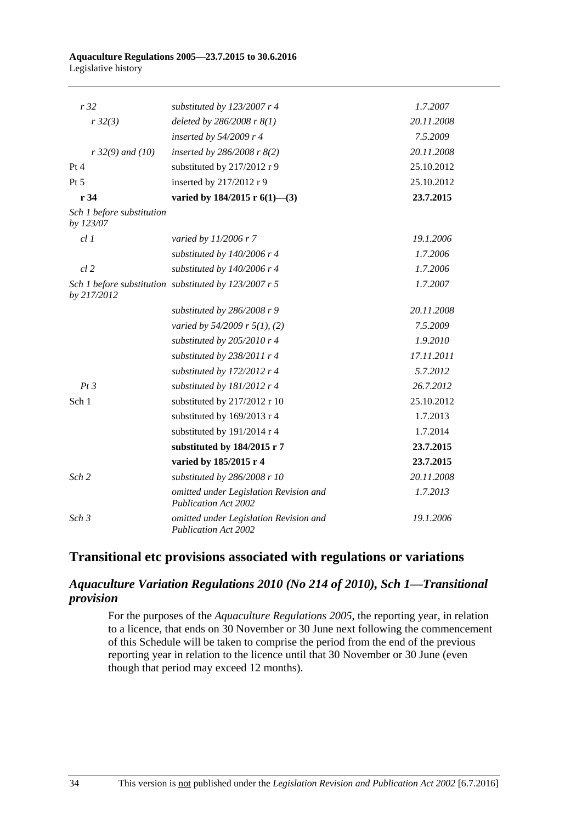#### **Aquaculture Regulations 2005—23.7.2015 to 30.6.2016** Legislative history

| r32                                    | substituted by $123/2007$ r 4                                         | 1.7.2007   |
|----------------------------------------|-----------------------------------------------------------------------|------------|
| r32(3)                                 | deleted by $286/2008$ r $8(1)$                                        | 20.11.2008 |
|                                        | inserted by 54/2009 r 4                                               | 7.5.2009   |
| $r32(9)$ and (10)                      | inserted by $286/2008$ r $8(2)$                                       | 20.11.2008 |
| Pt 4                                   | substituted by 217/2012 r 9                                           | 25.10.2012 |
| Pt 5                                   | inserted by 217/2012 r 9                                              | 25.10.2012 |
| r34                                    | varied by $184/2015$ r $6(1)$ —(3)                                    | 23.7.2015  |
| Sch 1 before substitution<br>by 123/07 |                                                                       |            |
| cl1                                    | varied by 11/2006 r 7                                                 | 19.1.2006  |
|                                        | substituted by $140/2006$ r 4                                         | 1.7.2006   |
| $cl$ 2                                 | substituted by 140/2006 r 4                                           | 1.7.2006   |
| by 217/2012                            | Sch 1 before substitution substituted by 123/2007 r 5                 | 1.7.2007   |
|                                        | substituted by $286/2008$ r 9                                         | 20.11.2008 |
|                                        | varied by $54/2009$ r $5(1)$ , (2)                                    | 7.5.2009   |
|                                        | substituted by 205/2010 r 4                                           | 1.9.2010   |
|                                        | substituted by $238/2011$ r 4                                         | 17.11.2011 |
|                                        | substituted by 172/2012 r 4                                           | 5.7.2012   |
| Pt3                                    | substituted by 181/2012 r 4                                           | 26.7.2012  |
| Sch 1                                  | substituted by 217/2012 r 10                                          | 25.10.2012 |
|                                        | substituted by 169/2013 r 4                                           | 1.7.2013   |
|                                        | substituted by 191/2014 r 4                                           | 1.7.2014   |
|                                        | substituted by 184/2015 r 7                                           | 23.7.2015  |
|                                        | varied by 185/2015 r 4                                                | 23.7.2015  |
| Sch <sub>2</sub>                       | substituted by 286/2008 r 10                                          | 20.11.2008 |
|                                        | omitted under Legislation Revision and<br><b>Publication Act 2002</b> | 1.7.2013   |
| Sch <sub>3</sub>                       | omitted under Legislation Revision and<br><b>Publication Act 2002</b> | 19.1.2006  |

# **Transitional etc provisions associated with regulations or variations**

## *Aquaculture Variation Regulations 2010 (No 214 of 2010), Sch 1—Transitional provision*

For the purposes of the *[Aquaculture Regulations](http://www.legislation.sa.gov.au/index.aspx?action=legref&type=subordleg&legtitle=Aquaculture%20Regulations%202005) 2005*, the reporting year, in relation to a licence, that ends on 30 November or 30 June next following the commencement of this Schedule will be taken to comprise the period from the end of the previous reporting year in relation to the licence until that 30 November or 30 June (even though that period may exceed 12 months).